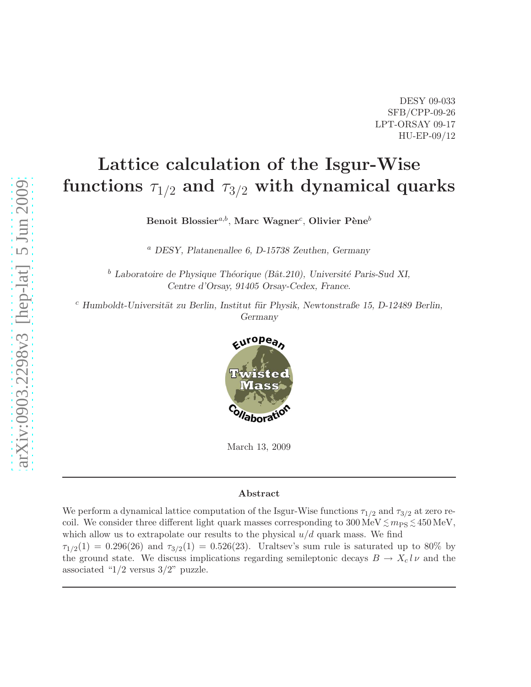DESY 09-033 SFB/CPP-09-26 LPT-ORSAY 09-17 HU-EP-09/12

# Lattice calculation of the Isgur-Wise functions  $\tau_{1/2}$  and  $\tau_{3/2}$  with dynamical quarks

Benoit Blossier $^{a,b},$  Marc Wagner $^c$ , Olivier Pène $^b$ 

<sup>a</sup> DESY, Platanenallee 6, D-15738 Zeuthen, Germany

 $<sup>b</sup>$  Laboratoire de Physique Théorique (Bât.210), Université Paris-Sud XI,</sup> Centre d'Orsay, 91405 Orsay-Cedex, France.

 $c$  Humboldt-Universität zu Berlin, Institut für Physik, Newtonstraße 15, D-12489 Berlin, Germany



March 13, 2009

#### Abstract

We perform a dynamical lattice computation of the Isgur-Wise functions  $\tau_{1/2}$  and  $\tau_{3/2}$  at zero recoil. We consider three different light quark masses corresponding to  $300 \,\text{MeV} \lesssim m_\text{PS} \lesssim 450 \,\text{MeV}$ , which allow us to extrapolate our results to the physical  $u/d$  quark mass. We find  $\tau_{1/2}(1) = 0.296(26)$  and  $\tau_{3/2}(1) = 0.526(23)$ . Uraltsev's sum rule is saturated up to 80% by the ground state. We discuss implications regarding semileptonic decays  $B \to X_c l \nu$  and the associated " $1/2$  versus  $3/2$ " puzzle.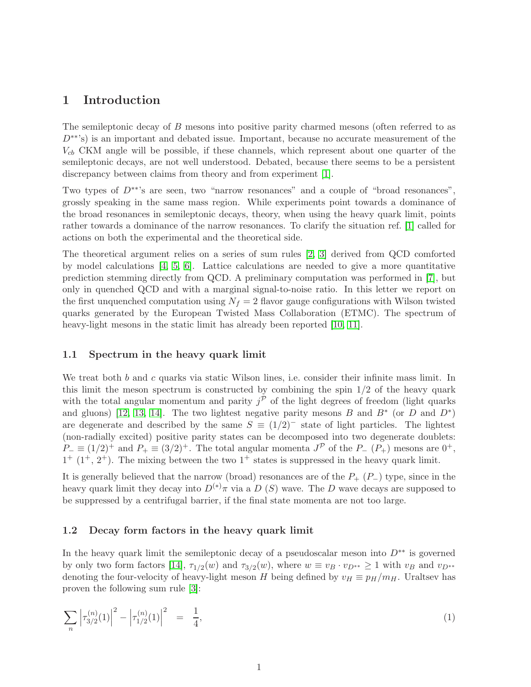## 1 Introduction

The semileptonic decay of B mesons into positive parity charmed mesons (often referred to as  $D<sup>**</sup>$ 's) is an important and debated issue. Important, because no accurate measurement of the  $V_{cb}$  CKM angle will be possible, if these channels, which represent about one quarter of the semileptonic decays, are not well understood. Debated, because there seems to be a persistent discrepancy between claims from theory and from experiment [\[1\]](#page-20-0).

Two types of D∗∗'s are seen, two "narrow resonances" and a couple of "broad resonances", grossly speaking in the same mass region. While experiments point towards a dominance of the broad resonances in semileptonic decays, theory, when using the heavy quark limit, points rather towards a dominance of the narrow resonances. To clarify the situation ref. [\[1\]](#page-20-0) called for actions on both the experimental and the theoretical side.

The theoretical argument relies on a series of sum rules [\[2,](#page-20-1) [3\]](#page-20-2) derived from QCD comforted by model calculations [\[4,](#page-20-3) [5,](#page-20-4) [6\]](#page-20-5). Lattice calculations are needed to give a more quantitative prediction stemming directly from QCD. A preliminary computation was performed in [\[7\]](#page-21-0), but only in quenched QCD and with a marginal signal-to-noise ratio. In this letter we report on the first unquenched computation using  $N_f = 2$  flavor gauge configurations with Wilson twisted quarks generated by the European Twisted Mass Collaboration (ETMC). The spectrum of heavy-light mesons in the static limit has already been reported [\[10,](#page-21-1) [11\]](#page-21-2).

### 1.1 Spectrum in the heavy quark limit

We treat both b and c quarks via static Wilson lines, i.e. consider their infinite mass limit. In this limit the meson spectrum is constructed by combining the spin  $1/2$  of the heavy quark with the total angular momentum and parity  $j^{\mathcal{P}}$  of the light degrees of freedom (light quarks and gluons) [\[12,](#page-21-3) [13,](#page-21-4) [14\]](#page-21-5). The two lightest negative parity mesons B and  $B^*$  (or D and  $D^*$ ) are degenerate and described by the same  $S \equiv (1/2)^{-}$  state of light particles. The lightest (non-radially excited) positive parity states can be decomposed into two degenerate doublets:  $P_-\equiv (1/2)^+$  and  $P_+\equiv (3/2)^+$ . The total angular momenta  $J^{\mathcal{P}}$  of the  $P_-\ (P_+)$  mesons are  $0^+$ ,  $1^+$   $(1^+, 2^+)$ . The mixing between the two  $1^+$  states is suppressed in the heavy quark limit.

It is generally believed that the narrow (broad) resonances are of the  $P_+$  ( $P_-$ ) type, since in the heavy quark limit they decay into  $D^{(*)}\pi$  via a D (S) wave. The D wave decays are supposed to be suppressed by a centrifugal barrier, if the final state momenta are not too large.

### 1.2 Decay form factors in the heavy quark limit

In the heavy quark limit the semileptonic decay of a pseudoscalar meson into  $D^{**}$  is governed by only two form factors [\[14\]](#page-21-5),  $\tau_{1/2}(w)$  and  $\tau_{3/2}(w)$ , where  $w \equiv v_B \cdot v_{D^{**}} \ge 1$  with  $v_B$  and  $v_{D^{**}}$ denoting the four-velocity of heavy-light meson H being defined by  $v_H \equiv p_H/m_H$ . Uraltsev has proven the following sum rule [\[3\]](#page-20-2):

<span id="page-1-0"></span>
$$
\sum_{n} \left| \tau_{3/2}^{(n)}(1) \right|^2 - \left| \tau_{1/2}^{(n)}(1) \right|^2 = \frac{1}{4},\tag{1}
$$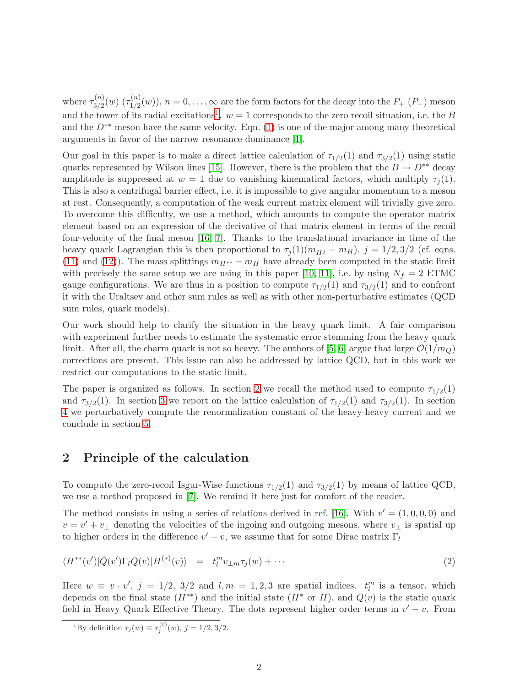where  $\tau_{3/2}^{(n)}$  $\frac{\Gamma(n)}{3/2}(w)$   $(\tau^{(n)}_{1/2})$  $\binom{n}{1/2}(w)$ ,  $n = 0, \ldots, \infty$  are the form factors for the decay into the  $P_+$  ( $P_-$ ) meson and the tower of its radial excitations<sup>[1](#page-2-0)</sup>.  $w = 1$  corresponds to the zero recoil situation, i.e. the B and the  $D^{**}$  meson have the same velocity. Eqn. [\(1\)](#page-1-0) is one of the major among many theoretical arguments in favor of the narrow resonance dominance [\[1\]](#page-20-0).

Our goal in this paper is to make a direct lattice calculation of  $\tau_{1/2}(1)$  and  $\tau_{3/2}(1)$  using static quarks represented by Wilson lines [\[15\]](#page-21-6). However, there is the problem that the  $B \to D^{**}$  decay amplitude is suppressed at  $w = 1$  due to vanishing kinematical factors, which multiply  $\tau_i(1)$ . This is also a centrifugal barrier effect, i.e. it is impossible to give angular momentum to a meson at rest. Consequently, a computation of the weak current matrix element will trivially give zero. To overcome this difficulty, we use a method, which amounts to compute the operator matrix element based on an expression of the derivative of that matrix element in terms of the recoil four-velocity of the final meson [\[16,](#page-21-7) [7\]](#page-21-0). Thanks to the translational invariance in time of the heavy quark Lagrangian this is then proportional to  $\tau_j(1)(m_{Hj} - m_H)$ ,  $j = 1/2, 3/2$  (cf. eqns. [\(11\)](#page-3-0) and [\(12\)](#page-3-0)). The mass splittings  $m_{H^{**}} - m_H$  have already been computed in the static limit with precisely the same setup we are using in this paper [\[10,](#page-21-1) [11\]](#page-21-2), i.e. by using  $N_f = 2$  ETMC gauge configurations. We are thus in a position to compute  $\tau_{1/2}(1)$  and  $\tau_{3/2}(1)$  and to confront it with the Uraltsev and other sum rules as well as with other non-perturbative estimates (QCD sum rules, quark models).

Our work should help to clarify the situation in the heavy quark limit. A fair comparison with experiment further needs to estimate the systematic error stemming from the heavy quark limit. After all, the charm quark is not so heavy. The authors of [\[5,](#page-20-4) [6\]](#page-20-5) argue that large  $\mathcal{O}(1/m_Q)$ corrections are present. This issue can also be addressed by lattice QCD, but in this work we restrict our computations to the static limit.

The paper is organized as follows. In section [2](#page-2-1) we recall the method used to compute  $\tau_{1/2}(1)$ and  $\tau_{3/2}(1)$ . In section [3](#page-4-0) we report on the lattice calculation of  $\tau_{1/2}(1)$  and  $\tau_{3/2}(1)$ . In section [4](#page-11-0) we perturbatively compute the renormalization constant of the heavy-heavy current and we conclude in section [5.](#page-16-0)

## <span id="page-2-1"></span>2 Principle of the calculation

To compute the zero-recoil Isgur-Wise functions  $\tau_{1/2}(1)$  and  $\tau_{3/2}(1)$  by means of lattice QCD, we use a method proposed in [\[7\]](#page-21-0). We remind it here just for comfort of the reader.

The method consists in using a series of relations derived in ref. [\[16\]](#page-21-7). With  $v' = (1, 0, 0, 0)$  and  $v = v' + v_{\perp}$  denoting the velocities of the ingoing and outgoing mesons, where  $v_{\perp}$  is spatial up to higher orders in the difference  $v'-v$ , we assume that for some Dirac matrix  $\Gamma_l$ 

<span id="page-2-2"></span>
$$
\langle H^{**}(v')|\bar{Q}(v')\Gamma_lQ(v)|H^{(*)}(v)\rangle = t_l^m v_{\perp m}\tau_j(w) + \cdots \qquad (2)
$$

Here  $w \equiv v \cdot v'$ ,  $j = 1/2$ ,  $3/2$  and  $l, m = 1, 2, 3$  are spatial indices.  $t_l^m$  is a tensor, which depends on the final state  $(H^{**})$  and the initial state  $(H^*$  or H), and  $Q(v)$  is the static quark field in Heavy Quark Effective Theory. The dots represent higher order terms in  $v' - v$ . From

<span id="page-2-0"></span><sup>&</sup>lt;sup>1</sup>By definition  $\tau_j(w) \equiv \tau_j^{(0)}(w)$ ,  $j = 1/2, 3/2$ .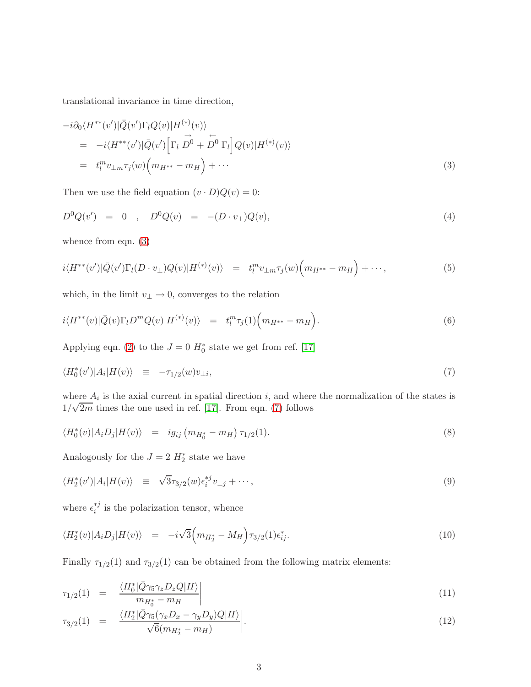translational invariance in time direction,

<span id="page-3-1"></span>
$$
-i\partial_0 \langle H^{**}(v')|\bar{Q}(v')\Gamma_l Q(v)|H^{(*)}(v)\rangle = -i\langle H^{**}(v')|\bar{Q}(v')[\Gamma_l \stackrel{\rightarrow}{D^0} + \stackrel{\leftarrow}{D^0} \Gamma_l]Q(v)|H^{(*)}(v)\rangle = t_l^m v_{\perp m} \tau_j(w) (m_{H^{**}} - m_H) + \cdots
$$
\n(3)

Then we use the field equation  $(v \cdot D)Q(v) = 0$ :

$$
D^{0}Q(v') = 0 , D^{0}Q(v) = -(D \cdot v_{\perp})Q(v), \qquad (4)
$$

whence from eqn.  $(3)$ 

$$
i\langle H^{**}(v')|\bar{Q}(v')\Gamma_l(D\cdot v_\perp)Q(v)|H^{(*)}(v)\rangle = t_l^m v_{\perp m}\tau_j(w)\Big(m_{H^{**}}-m_H\Big)+\cdots,
$$
\n(5)

which, in the limit  $v_\perp \to 0,$  converges to the relation

$$
i\langle H^{**}(v)|\bar{Q}(v)\Gamma_l D^m Q(v)|H^{(*)}(v)\rangle = t_l^m \tau_j(1) \Big(m_{H^{**}} - m_H\Big).
$$
\n(6)

Applying eqn. [\(2\)](#page-2-2) to the  $J = 0$   $H_0^*$  state we get from ref. [\[17\]](#page-21-8)

<span id="page-3-2"></span>
$$
\langle H_0^*(v')|A_i|H(v)\rangle \equiv -\tau_{1/2}(w)v_{\perp i},\tag{7}
$$

where  $A_i$  is the axial current in spatial direction i, and where the normalization of the states is  $1/\sqrt{2m}$  times the one used in ref. [\[17\]](#page-21-8). From eqn. [\(7\)](#page-3-2) follows

$$
\langle H_0^*(v) | A_i D_j | H(v) \rangle = i g_{ij} \left( m_{H_0^*} - m_H \right) \tau_{1/2}(1). \tag{8}
$$

Analogously for the  $J = 2 H_2^*$  state we have

$$
\langle H_2^*(v')|A_i|H(v)\rangle \equiv \sqrt{3}\tau_{3/2}(w)\epsilon_i^{*j}v_{\perp j} + \cdots, \qquad (9)
$$

where  $\epsilon_i^{*j}$  $i^*$  is the polarization tensor, whence

$$
\langle H_2^*(v) | A_i D_j | H(v) \rangle = -i\sqrt{3} \Big( m_{H_2^*} - M_H \Big) \tau_{3/2}(1) \epsilon_{ij}^*.
$$
 (10)

Finally  $\tau_{1/2}(1)$  and  $\tau_{3/2}(1)$  can be obtained from the following matrix elements:

<span id="page-3-0"></span>
$$
\tau_{1/2}(1) = \left| \frac{\langle H_0^* | \bar{Q} \gamma_5 \gamma_z D_z Q | H \rangle}{m_{H_0^*} - m_H} \right| \tag{11}
$$

$$
\tau_{3/2}(1) = \left| \frac{\langle H_2^* | \bar{Q} \gamma_5 (\gamma_x D_x - \gamma_y D_y) Q | H \rangle}{\sqrt{6} (m_{H_2^*} - m_H)} \right|.
$$
\n(12)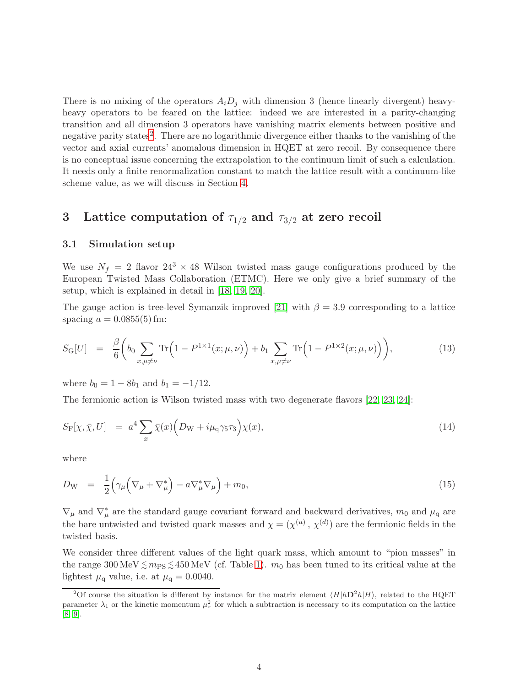There is no mixing of the operators  $A_iD_j$  with dimension 3 (hence linearly divergent) heavyheavy operators to be feared on the lattice: indeed we are interested in a parity-changing transition and all dimension 3 operators have vanishing matrix elements between positive and negative parity states<sup>[2](#page-4-1)</sup>. There are no logarithmic divergence either thanks to the vanishing of the vector and axial currents' anomalous dimension in HQET at zero recoil. By consequence there is no conceptual issue concerning the extrapolation to the continuum limit of such a calculation. It needs only a finite renormalization constant to match the lattice result with a continuum-like scheme value, as we will discuss in Section [4.](#page-11-0)

## <span id="page-4-0"></span>3 Lattice computation of  $\tau_{1/2}$  and  $\tau_{3/2}$  at zero recoil

#### 3.1 Simulation setup

We use  $N_f = 2$  flavor  $24^3 \times 48$  Wilson twisted mass gauge configurations produced by the European Twisted Mass Collaboration (ETMC). Here we only give a brief summary of the setup, which is explained in detail in [\[18,](#page-21-9) [19,](#page-21-10) [20\]](#page-21-11).

The gauge action is tree-level Symanzik improved [\[21\]](#page-21-12) with  $\beta = 3.9$  corresponding to a lattice spacing  $a = 0.0855(5)$  fm:

$$
S_{\mathcal{G}}[U] = \frac{\beta}{6} \left( b_0 \sum_{x,\mu \neq \nu} \text{Tr} \left( 1 - P^{1 \times 1}(x; \mu, \nu) \right) + b_1 \sum_{x,\mu \neq \nu} \text{Tr} \left( 1 - P^{1 \times 2}(x; \mu, \nu) \right) \right),\tag{13}
$$

where  $b_0 = 1 - 8b_1$  and  $b_1 = -1/12$ .

The fermionic action is Wilson twisted mass with two degenerate flavors [\[22,](#page-21-13) [23,](#page-22-0) [24\]](#page-22-1):

$$
S_{\mathcal{F}}[\chi, \bar{\chi}, U] = a^4 \sum_{x} \bar{\chi}(x) \left( D_{\mathcal{W}} + i \mu_{\mathcal{q}} \gamma_5 \tau_3 \right) \chi(x), \tag{14}
$$

where

$$
D_{\rm W} = \frac{1}{2} \Big( \gamma_\mu \Big( \nabla_\mu + \nabla_\mu^* \Big) - a \nabla_\mu^* \nabla_\mu \Big) + m_0, \tag{15}
$$

 $\nabla_{\mu}$  and  $\nabla_{\mu}^{*}$  are the standard gauge covariant forward and backward derivatives,  $m_0$  and  $\mu_q$  are the bare untwisted and twisted quark masses and  $\chi = (\chi^{(u)}, \chi^{(d)})$  are the fermionic fields in the twisted basis.

We consider three different values of the light quark mass, which amount to "pion masses" in the range  $300 \,\text{MeV} \lesssim m_{\text{PS}} \lesssim 450 \,\text{MeV}$  (cf. Table [1\)](#page-5-0).  $m_0$  has been tuned to its critical value at the lightest  $\mu_{\rm q}$  value, i.e. at  $\mu_{\rm q} = 0.0040$ .

<span id="page-4-1"></span><sup>&</sup>lt;sup>2</sup>Of course the situation is different by instance for the matrix element  $\langle H|\bar{h}D^2h|H\rangle$ , related to the HQET parameter  $\lambda_1$  or the kinetic momentum  $\mu_\pi^2$  for which a subtraction is necessary to its computation on the lattice [\[8,](#page-21-14) [9\]](#page-21-15).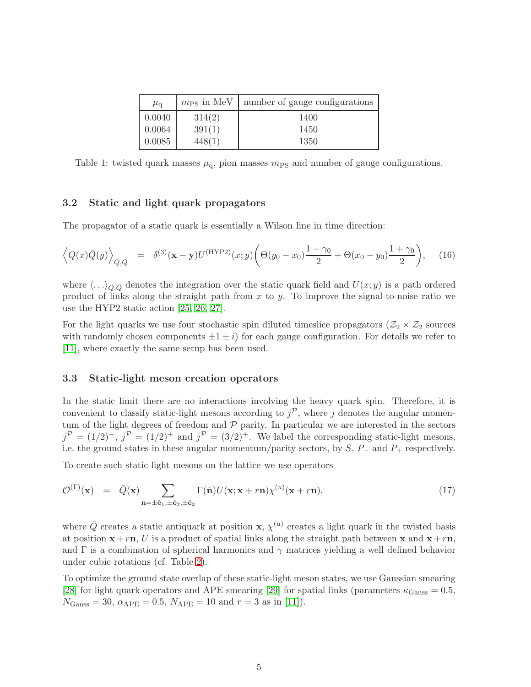| $\mu_{\rm q}$ | $m_{\rm PS}$ in MeV | number of gauge configurations |
|---------------|---------------------|--------------------------------|
| 0.0040        | 314(2)              | 1400                           |
| 0.0064        | 391(1)              | 1450                           |
| 0.0085        | 448(1)              | 1350                           |

<span id="page-5-0"></span>Table 1: twisted quark masses  $\mu_{q}$ , pion masses  $m_{PS}$  and number of gauge configurations.

#### 3.2 Static and light quark propagators

The propagator of a static quark is essentially a Wilson line in time direction:

$$
\left\langle Q(x)\bar{Q}(y)\right\rangle_{Q,\bar{Q}} = \delta^{(3)}(\mathbf{x} - \mathbf{y})U^{(\text{HYP2})}(x;y)\left(\Theta(y_0 - x_0)\frac{1 - \gamma_0}{2} + \Theta(x_0 - y_0)\frac{1 + \gamma_0}{2}\right),\tag{16}
$$

where  $\langle \ldots \rangle_{Q,\bar{Q}}$  denotes the integration over the static quark field and  $U(x; y)$  is a path ordered product of links along the straight path from x to y. To improve the signal-to-noise ratio we use the HYP2 static action [\[25,](#page-22-2) [26,](#page-22-3) [27\]](#page-22-4).

For the light quarks we use four stochastic spin diluted timeslice propagators  $(\mathcal{Z}_2 \times \mathcal{Z}_2)$  sources with randomly chosen components  $\pm 1 \pm i$ ) for each gauge configuration. For details we refer to [\[11\]](#page-21-2), where exactly the same setup has been used.

#### 3.3 Static-light meson creation operators

In the static limit there are no interactions involving the heavy quark spin. Therefore, it is convenient to classify static-light mesons according to  $j^{\mathcal{P}}$ , where j denotes the angular momentum of the light degrees of freedom and  $P$  parity. In particular we are interested in the sectors  $j^{\mathcal{P}} = (1/2)^{-}$ ,  $j^{\mathcal{P}} = (1/2)^{+}$  and  $j^{\mathcal{P}} = (3/2)^{+}$ . We label the corresponding static-light mesons, i.e. the ground states in these angular momentum/parity sectors, by  $S$ ,  $P_-\$  and  $P_+\$  respectively.

To create such static-light mesons on the lattice we use operators

$$
\mathcal{O}^{(\Gamma)}(\mathbf{x}) = \bar{Q}(\mathbf{x}) \sum_{\mathbf{n}=\pm\hat{\mathbf{e}}_1,\pm\hat{\mathbf{e}}_2,\pm\hat{\mathbf{e}}_3} \Gamma(\hat{\mathbf{n}}) U(\mathbf{x}; \mathbf{x}+r\mathbf{n}) \chi^{(u)}(\mathbf{x}+r\mathbf{n}), \tag{17}
$$

where  $\bar{Q}$  creates a static antiquark at position **x**,  $\chi^{(u)}$  creates a light quark in the twisted basis at position  $x + r n$ , U is a product of spatial links along the straight path between x and  $x + r n$ , and  $\Gamma$  is a combination of spherical harmonics and  $\gamma$  matrices yielding a well defined behavior under cubic rotations (cf. Table [2\)](#page-6-0).

To optimize the ground state overlap of these static-light meson states, we use Gaussian smearing [\[28\]](#page-22-5) for light quark operators and APE smearing [\[29\]](#page-22-6) for spatial links (parameters  $\kappa_{\text{Gauss}} = 0.5$ ,  $N_{\text{Gauss}} = 30, \ \alpha_{\text{APE}} = 0.5, \ N_{\text{APE}} = 10 \text{ and } r = 3 \text{ as in [11]).}$  $N_{\text{Gauss}} = 30, \ \alpha_{\text{APE}} = 0.5, \ N_{\text{APE}} = 10 \text{ and } r = 3 \text{ as in [11]).}$  $N_{\text{Gauss}} = 30, \ \alpha_{\text{APE}} = 0.5, \ N_{\text{APE}} = 10 \text{ and } r = 3 \text{ as in [11]).}$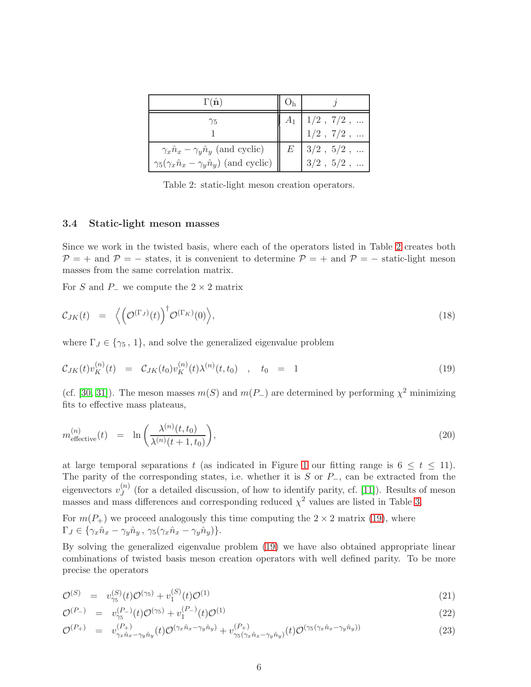| $\Gamma(\hat{\mathbf{n}})$                                       |   |                                    |
|------------------------------------------------------------------|---|------------------------------------|
| Ϋ5                                                               |   | $1/2$ , $7/2$ ,                    |
| $\gamma_x \hat{n}_x - \gamma_y \hat{n}_y$ (and cyclic)           | E | $1/2$ , $7/2$ ,<br>$3/2$ , $5/2$ , |
| $\gamma_5(\gamma_x \hat{n}_x - \gamma_y \hat{n}_y)$ (and cyclic) |   | $3/2$ , $5/2$ ,                    |

<span id="page-6-0"></span>Table 2: static-light meson creation operators.

### 3.4 Static-light meson masses

Since we work in the twisted basis, where each of the operators listed in Table [2](#page-6-0) creates both  $\mathcal{P} = +$  and  $\mathcal{P} = -$  states, it is convenient to determine  $\mathcal{P} = +$  and  $\mathcal{P} = -$  static-light meson masses from the same correlation matrix.

For S and P $\equiv$  we compute the 2 × 2 matrix

$$
\mathcal{C}_{JK}(t) = \left\langle \left( \mathcal{O}^{(\Gamma_J)}(t) \right)^{\dagger} \mathcal{O}^{(\Gamma_K)}(0) \right\rangle, \tag{18}
$$

where  $\Gamma_J \in \{\gamma_5, 1\}$ , and solve the generalized eigenvalue problem

<span id="page-6-1"></span>
$$
\mathcal{C}_{JK}(t)v_K^{(n)}(t) = \mathcal{C}_{JK}(t_0)v_K^{(n)}(t)\lambda^{(n)}(t,t_0) , \quad t_0 = 1
$$
\n(19)

(cf. [\[30,](#page-22-7) [31\]](#page-22-8)). The meson masses  $m(S)$  and  $m(P_{-})$  are determined by performing  $\chi^2$  minimizing fits to effective mass plateaus,

$$
m_{\text{effective}}^{(n)}(t) = \ln\left(\frac{\lambda^{(n)}(t,t_0)}{\lambda^{(n)}(t+1,t_0)}\right),\tag{20}
$$

at large temporal separations t (as indicated in Figure [1](#page-7-0) our fitting range is  $6 \le t \le 11$ ). The parity of the corresponding states, i.e. whether it is  $S$  or  $P_$ , can be extracted from the eigenvectors  $v_I^{(n)}$  $J<sup>(n)</sup>$  (for a detailed discussion, of how to identify parity, cf. [\[11\]](#page-21-2)). Results of meson masses and mass differences and corresponding reduced  $\chi^2$  values are listed in Table [3.](#page-8-0)

For  $m(P_+)$  we proceed analogously this time computing the  $2 \times 2$  matrix [\(19\)](#page-6-1), where  $\Gamma_J \in \{ \gamma_x \hat{n}_x - \gamma_y \hat{n}_y, \ \gamma_5 (\gamma_x \hat{n}_x - \gamma_y \hat{n}_y) \}.$ 

By solving the generalized eigenvalue problem [\(19\)](#page-6-1) we have also obtained appropriate linear combinations of twisted basis meson creation operators with well defined parity. To be more precise the operators

<span id="page-6-2"></span>
$$
\mathcal{O}^{(S)} = v_{\gamma_5}^{(S)}(t)\mathcal{O}^{(\gamma_5)} + v_1^{(S)}(t)\mathcal{O}^{(1)} \tag{21}
$$

$$
\mathcal{O}^{(P-)} = v_{\gamma_5}^{(P-)}(t)\mathcal{O}^{(\gamma_5)} + v_1^{(P-)}(t)\mathcal{O}^{(1)} \tag{22}
$$

$$
\mathcal{O}^{(P_+)} = v_{\gamma_x \hat{n}_x - \gamma_y \hat{n}_y}^{(P_+)}(t) \mathcal{O}^{(\gamma_x \hat{n}_x - \gamma_y \hat{n}_y)} + v_{\gamma_5(\gamma_x \hat{n}_x - \gamma_y \hat{n}_y)}^{(P_+)}(t) \mathcal{O}^{(\gamma_5(\gamma_x \hat{n}_x - \gamma_y \hat{n}_y))}
$$
(23)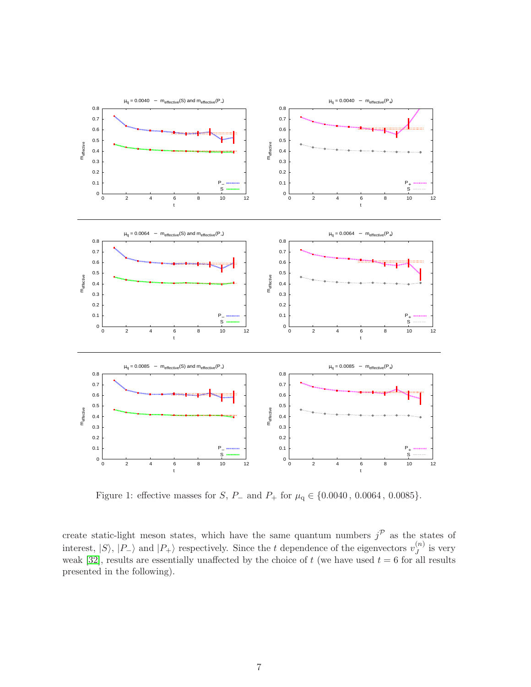

<span id="page-7-0"></span>Figure 1: effective masses for  $S$ ,  $P_$  and  $P_+$  for  $\mu$ <sup>q</sup> ∈ {0.0040, 0.0064, 0.0085}.

create static-light meson states, which have the same quantum numbers  $j^{\mathcal{P}}$  as the states of interest,  $|S\rangle$ ,  $|P_{-}\rangle$  and  $|P_{+}\rangle$  respectively. Since the t dependence of the eigenvectors  $v_J^{(n)}$  $\int_{J}^{(n)}$  is very weak [\[32\]](#page-22-9), results are essentially unaffected by the choice of  $t$  (we have used  $t = 6$  for all results presented in the following).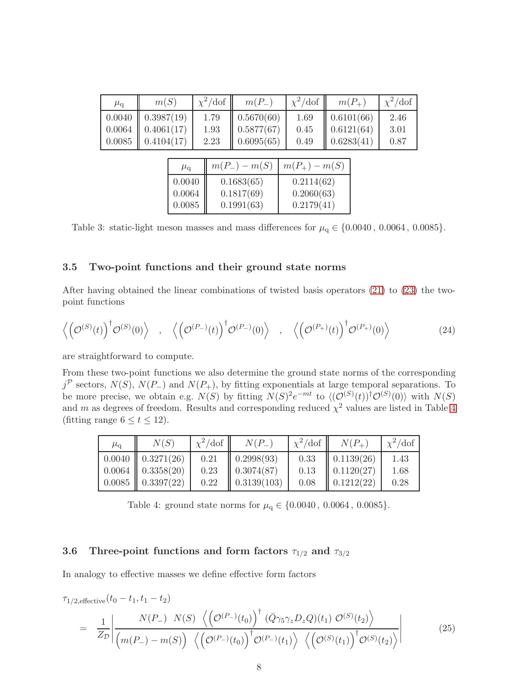| $\mu_{\rm q}$ | m(S)       |               |  | $\chi^2/\text{dof}$ | $m(P_{-})$        |  | $\chi^2$ /dof     |  | $m(P_{+})$ | $\chi^2/\text{dof}$ |
|---------------|------------|---------------|--|---------------------|-------------------|--|-------------------|--|------------|---------------------|
| 0.0040        | 0.3987(19) |               |  | 1.79                | 0.5670(60)        |  | 1.69              |  | 0.6101(66) | 2.46                |
| 0.0064        |            | 0.4061(17)    |  | 1.93                | 0.5877(67)        |  | 0.45              |  | 0.6121(64) | 3.01                |
| 0.0085        |            | 0.4104(17)    |  | 2.23                | 0.6095(65)        |  | 0.49              |  | 0.6283(41) | 0.87                |
|               |            |               |  |                     |                   |  |                   |  |            |                     |
|               |            | $\mu_{\rm q}$ |  |                     | $m(P_{-}) - m(S)$ |  | $m(P_{+}) - m(S)$ |  |            |                     |
|               |            | 0.0040        |  |                     | 0.1683(65)        |  | 0.2114(62)        |  |            |                     |
|               |            | 0.0064        |  |                     | 0.1817(69)        |  | 0.2060(63)        |  |            |                     |
|               |            | 0.0085        |  |                     | 0.1991(63)        |  | 0.2179(41)        |  |            |                     |

<span id="page-8-0"></span>Table 3: static-light meson masses and mass differences for  $\mu_q \in \{0.0040, 0.0064, 0.0085\}.$ 

#### 3.5 Two-point functions and their ground state norms

After having obtained the linear combinations of twisted basis operators [\(21\)](#page-6-2) to [\(23\)](#page-6-2) the twopoint functions

$$
\left\langle \left(\mathcal{O}^{(S)}(t)\right)^{\dagger} \mathcal{O}^{(S)}(0) \right\rangle , \quad \left\langle \left(\mathcal{O}^{(P_{-})}(t)\right)^{\dagger} \mathcal{O}^{(P_{-})}(0) \right\rangle , \quad \left\langle \left(\mathcal{O}^{(P_{+})}(t)\right)^{\dagger} \mathcal{O}^{(P_{+})}(0) \right\rangle \tag{24}
$$

are straightforward to compute.

From these two-point functions we also determine the ground state norms of the corresponding  $j^{\mathcal{P}}$  sectors,  $N(S)$ ,  $N(P_{-})$  and  $N(P_{+})$ , by fitting exponentials at large temporal separations. To be more precise, we obtain e.g.  $N(S)$  by fitting  $N(S)^{2}e^{-mt}$  to  $\langle (\mathcal{O}^{(S)}(t))^{\dagger} \mathcal{O}^{(S)}(0) \rangle$  with  $N(S)$ and m as degrees of freedom. Results and corresponding reduced  $\chi^2$  values are listed in Table [4](#page-8-1) (fitting range  $6 \le t \le 12$ ).

| $\mu_\mathtt{q}$ | N(S)                | $\chi^2/\text{dof}$ | $N(P_{-})$              | $\chi^2/\text{dof}$ | $N(P_{+})$             | $\chi^2/\text{dof}$ |
|------------------|---------------------|---------------------|-------------------------|---------------------|------------------------|---------------------|
|                  | $0.0040$ 0.3271(26) | 0.21                | $\parallel$ 0.2998(93)  | 0.33                | $\big  0.1139(26)$     | 1.43                |
|                  | $0.0064$ 0.3358(20) | 0.23                | $\parallel 0.3074(87)$  | 0.13                | $\parallel$ 0.1120(27) | 1.68                |
|                  | $0.0085$ 0.3397(22) | 0.22                | $\parallel$ 0.3139(103) | 0.08                | $\parallel$ 0.1212(22) | 0.28                |

<span id="page-8-1"></span>Table 4: ground state norms for  $\mu_{\text{q}} \in \{0.0040\, ,\, 0.0064\, ,\, 0.0085\}.$ 

## 3.6 Three-point functions and form factors  $\tau_{1/2}$  and  $\tau_{3/2}$

In analogy to effective masses we define effective form factors

<span id="page-8-2"></span>
$$
\tau_{1/2, \text{effective}}(t_0 - t_1, t_1 - t_2)
$$
\n
$$
= \frac{1}{Z_{\mathcal{D}}} \left| \frac{N(P_{-}) \ N(S) \ \left\langle \left(\mathcal{O}^{(P_{-})}(t_0)\right)^{\dagger} \left(\bar{Q} \gamma_5 \gamma_z D_z Q\right)(t_1) \ \mathcal{O}^{(S)}(t_2) \right\rangle}{\left(m(P_{-}) - m(S)\right) \ \left\langle \left(\mathcal{O}^{(P_{-})}(t_0)\right)^{\dagger} \mathcal{O}^{(P_{-})}(t_1) \right\rangle \ \left\langle \left(\mathcal{O}^{(S)}(t_1)\right)^{\dagger} \mathcal{O}^{(S)}(t_2) \right\rangle} \right| \tag{25}
$$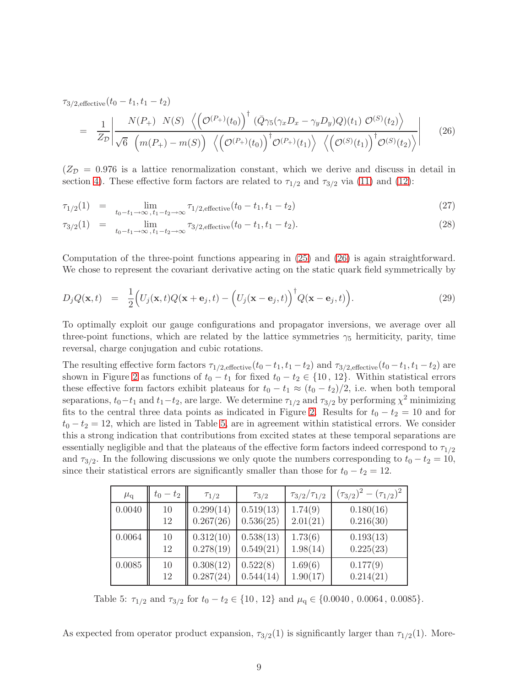$\tau_{3/2,\text{effective}}(t_0 - t_1, t_1 - t_2)$ 

$$
= \frac{1}{Z_{\mathcal{D}}} \left| \frac{N(P_{+}) \ N(S) \ \left\langle \left(\mathcal{O}^{(P_{+})}(t_{0})\right)^{\dagger} \left(\bar{Q}\gamma_{5}(\gamma_{x}D_{x} - \gamma_{y}D_{y})Q\right)(t_{1}) \ \mathcal{O}^{(S)}(t_{2}) \right\rangle}{\sqrt{6} \ \left(m(P_{+}) - m(S)\right) \ \left\langle \left(\mathcal{O}^{(P_{+})}(t_{0})\right)^{\dagger} \mathcal{O}^{(P_{+})}(t_{1}) \right\rangle \ \left\langle \left(\mathcal{O}^{(S)}(t_{1})\right)^{\dagger} \mathcal{O}^{(S)}(t_{2}) \right\rangle} \right| \tag{26}
$$

 $(Z_{\mathcal{D}} = 0.976$  is a lattice renormalization constant, which we derive and discuss in detail in section [4\)](#page-11-0). These effective form factors are related to  $\tau_{1/2}$  and  $\tau_{3/2}$  via [\(11\)](#page-3-0) and [\(12\)](#page-3-0):

$$
\tau_{1/2}(1) = \lim_{t_0 - t_1 \to \infty, t_1 - t_2 \to \infty} \tau_{1/2, \text{effective}}(t_0 - t_1, t_1 - t_2)
$$
\n(27)

$$
\tau_{3/2}(1) = \lim_{t_0 - t_1 \to \infty, t_1 - t_2 \to \infty} \tau_{3/2, \text{effective}}(t_0 - t_1, t_1 - t_2). \tag{28}
$$

Computation of the three-point functions appearing in [\(25\)](#page-8-2) and [\(26\)](#page-8-2) is again straightforward. We chose to represent the covariant derivative acting on the static quark field symmetrically by

$$
D_j Q(\mathbf{x}, t) = \frac{1}{2} \Big( U_j(\mathbf{x}, t) Q(\mathbf{x} + \mathbf{e}_j, t) - \Big( U_j(\mathbf{x} - \mathbf{e}_j, t) \Big)^{\dagger} Q(\mathbf{x} - \mathbf{e}_j, t) \Big). \tag{29}
$$

To optimally exploit our gauge configurations and propagator inversions, we average over all three-point functions, which are related by the lattice symmetries  $\gamma_5$  hermiticity, parity, time reversal, charge conjugation and cubic rotations.

The resulting effective form factors  $\tau_{1/2,\text{effective}}(t_0-t_1, t_1-t_2)$  and  $\tau_{3/2,\text{effective}}(t_0-t_1, t_1-t_2)$  are shown in Figure [2](#page-10-0) as functions of  $t_0 - t_1$  for fixed  $t_0 - t_2 \in \{10, 12\}$ . Within statistical errors these effective form factors exhibit plateaus for  $t_0 - t_1 \approx (t_0 - t_2)/2$ , i.e. when both temporal separations,  $t_0-t_1$  and  $t_1-t_2$ , are large. We determine  $\tau_{1/2}$  and  $\tau_{3/2}$  by performing  $\chi^2$  minimizing fits to the central three data points as indicated in Figure [2.](#page-10-0) Results for  $t_0 - t_2 = 10$  and for  $t_0 - t_2 = 12$ , which are listed in Table [5,](#page-9-0) are in agreement within statistical errors. We consider this a strong indication that contributions from excited states at these temporal separations are essentially negligible and that the plateaus of the effective form factors indeed correspond to  $\tau_{1/2}$ and  $\tau_{3/2}$ . In the following discussions we only quote the numbers corresponding to  $t_0 - t_2 = 10$ , since their statistical errors are significantly smaller than those for  $t_0 - t_2 = 12$ .

| $\mu_{\rm q}$ | $t_0 - t_2$ | $\tau_{1/2}$ | $\tau_{3/2}$ | $\tau_{3/2}/\tau_{1/2}$ | $(\tau_{3/2})^2 - (\tau_{1/2})^2$ |
|---------------|-------------|--------------|--------------|-------------------------|-----------------------------------|
| 0.0040        | 10          | 0.299(14)    | 0.519(13)    | 1.74(9)                 | 0.180(16)                         |
|               | 12          | 0.267(26)    | 0.536(25)    | 2.01(21)                | 0.216(30)                         |
| 0.0064        | 10          | 0.312(10)    | 0.538(13)    | 1.73(6)                 | 0.193(13)                         |
|               | 12          | 0.278(19)    | 0.549(21)    | 1.98(14)                | 0.225(23)                         |
| 0.0085        | 10          | 0.308(12)    | 0.522(8)     | 1.69(6)                 | 0.177(9)                          |
|               | 12          | 0.287(24)    | 0.544(14)    | 1.90(17)                | 0.214(21)                         |

<span id="page-9-0"></span>Table 5:  $\tau_{1/2}$  and  $\tau_{3/2}$  for  $t_0 - t_2 \in \{10, 12\}$  and  $\mu_q \in \{0.0040, 0.0064, 0.0085\}.$ 

As expected from operator product expansion,  $\tau_{3/2}(1)$  is significantly larger than  $\tau_{1/2}(1)$ . More-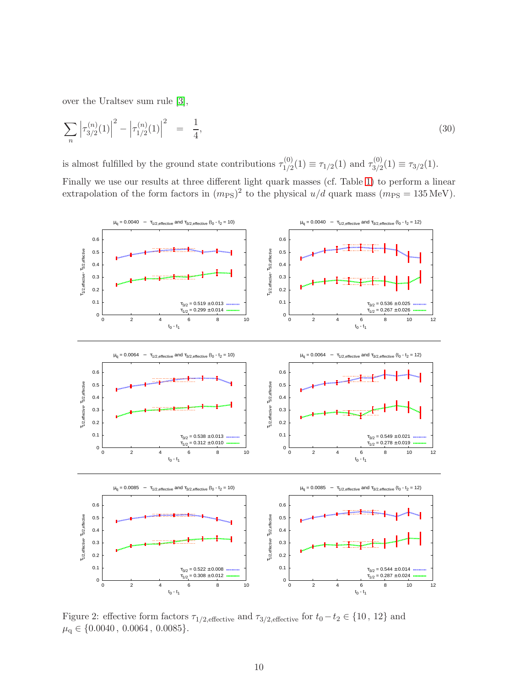over the Uraltsev sum rule [\[3\]](#page-20-2),

$$
\sum_{n} \left| \tau_{3/2}^{(n)}(1) \right|^2 - \left| \tau_{1/2}^{(n)}(1) \right|^2 = \frac{1}{4},\tag{30}
$$

is almost fulfilled by the ground state contributions  $\tau_{1/2}^{(0)}$  $\tau_{1/2}^{(0)}(1) \equiv \tau_{1/2}(1)$  and  $\tau_{3/2}^{(0)}$  $\tau_{3/2}^{(0)}(1) \equiv \tau_{3/2}(1).$ 

Finally we use our results at three different light quark masses (cf. Table [1\)](#page-5-0) to perform a linear extrapolation of the form factors in  $(m_{PS})^2$  to the physical  $u/d$  quark mass  $(m_{PS} = 135 \text{ MeV})$ .



<span id="page-10-0"></span>Figure 2: effective form factors  $\tau_{1/2,\text{effective}}$  and  $\tau_{3/2,\text{effective}}$  for  $t_0 - t_2 \in \{10, 12\}$  and  $\mu_{\rm q} \in \{0.0040\, ,\, 0.0064\, ,\, 0.0085\}.$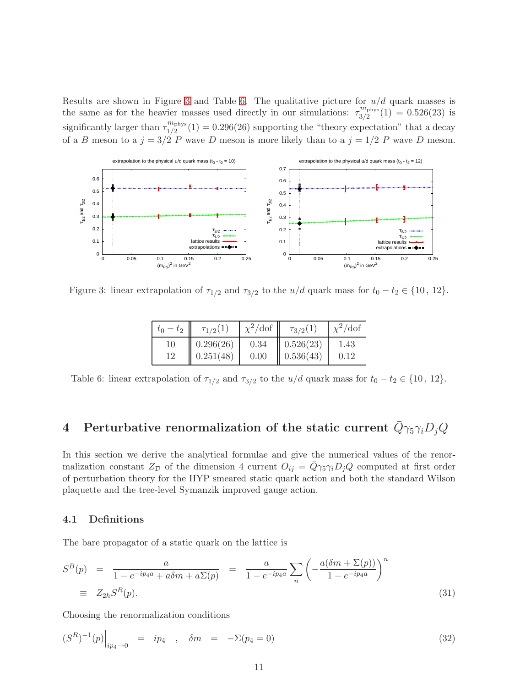Results are shown in Figure [3](#page-11-1) and Table [6.](#page-11-2) The qualitative picture for  $u/d$  quark masses is the same as for the heavier masses used directly in our simulations:  $\tau_{3/2}^{m_{\text{phys}}}$  $\frac{3}{2}$ <sup>n</sup><sup>phys</sup> $(1) = 0.526(23)$  is significantly larger than  $\tau_{1/2}^{m_{\text{phys}}}$  $\binom{n_{\text{phys}}}{1/2}(1) = 0.296(26)$  supporting the "theory expectation" that a decay of a B meson to a  $j = 3/2$  P wave D meson is more likely than to a  $j = 1/2$  P wave D meson.



<span id="page-11-1"></span>Figure 3: linear extrapolation of  $\tau_{1/2}$  and  $\tau_{3/2}$  to the  $u/d$  quark mass for  $t_0 - t_2 \in \{10, 12\}$ .

| $-t_2$<br>$\iota_0$ | $\tau_{1/2}(1)$ | $\chi^2$ /dof | $\tau_{3/2}(1)$ | $\chi^2/\text{dof}$ |
|---------------------|-----------------|---------------|-----------------|---------------------|
| 10                  | 0.296(26)       | 0.34          | 0.526(23)       | 1.43                |
| 12                  | 0.251(48)       | 0.00          | 0.536(43)       | 0.12                |

<span id="page-11-2"></span>Table 6: linear extrapolation of  $\tau_{1/2}$  and  $\tau_{3/2}$  to the  $u/d$  quark mass for  $t_0 - t_2 \in \{10, 12\}$ .

## <span id="page-11-0"></span>4 Perturbative renormalization of the static current  $\bar{Q}\gamma_5\gamma_iD_jQ$

In this section we derive the analytical formulae and give the numerical values of the renormalization constant  $Z_{\mathcal{D}}$  of the dimension 4 current  $O_{ij} = \overline{Q}\gamma_5\gamma_i D_j Q$  computed at first order of perturbation theory for the HYP smeared static quark action and both the standard Wilson plaquette and the tree-level Symanzik improved gauge action.

### 4.1 Definitions

The bare propagator of a static quark on the lattice is

$$
S^{B}(p) = \frac{a}{1 - e^{-ip_{4}a} + a\delta m + a\Sigma(p)} = \frac{a}{1 - e^{-ip_{4}a}} \sum_{n} \left( -\frac{a(\delta m + \Sigma(p))}{1 - e^{-ip_{4}a}} \right)^{n}
$$
  
\n
$$
= Z_{2h}S^{R}(p).
$$
\n(31)

Choosing the renormalization conditions

$$
(SR)-1(p)|ip4 \to 0 = ip4 , \delta m = -\Sigma(p4 = 0)
$$
 (32)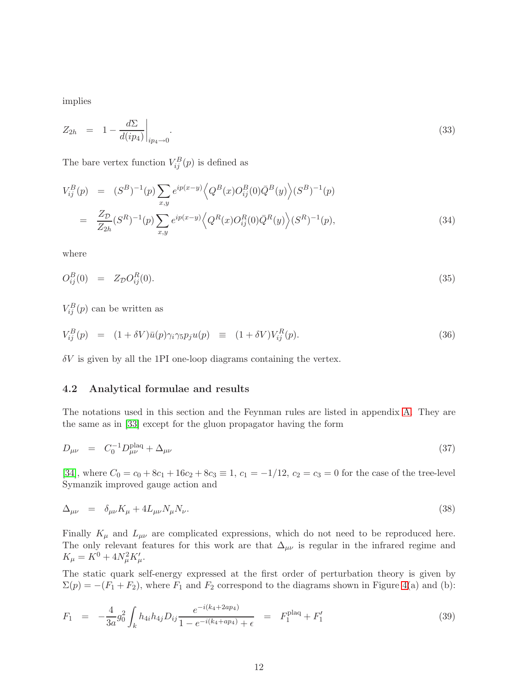implies

$$
Z_{2h} = 1 - \frac{d\Sigma}{d(ip_4)}\bigg|_{ip_4 \to 0}.\tag{33}
$$

The bare vertex function  $V_{ij}^B(p)$  is defined as

$$
V_{ij}^{B}(p) = (S^{B})^{-1}(p) \sum_{x,y} e^{ip(x-y)} \langle Q^{B}(x)O_{ij}^{B}(0)\bar{Q}^{B}(y) \rangle (S^{B})^{-1}(p)
$$
  

$$
= \frac{Z_{\mathcal{D}}}{Z_{2h}} (S^{R})^{-1}(p) \sum_{x,y} e^{ip(x-y)} \langle Q^{R}(x)O_{ij}^{R}(0)\bar{Q}^{R}(y) \rangle (S^{R})^{-1}(p), \qquad (34)
$$

where

$$
O_{ij}^B(0) = Z_{\mathcal{D}} O_{ij}^R(0). \tag{35}
$$

 $V_{ij}^B(p)$  can be written as

$$
V_{ij}^B(p) = (1 + \delta V)\bar{u}(p)\gamma_i\gamma_5p_ju(p) \equiv (1 + \delta V)V_{ij}^R(p). \tag{36}
$$

 $\delta V$  is given by all the 1PI one-loop diagrams containing the vertex.

#### 4.2 Analytical formulae and results

The notations used in this section and the Feynman rules are listed in appendix [A.](#page-18-0) They are the same as in [\[33\]](#page-22-10) except for the gluon propagator having the form

$$
D_{\mu\nu} = C_0^{-1} D_{\mu\nu}^{\text{plaq}} + \Delta_{\mu\nu} \tag{37}
$$

[\[34\]](#page-22-11), where  $C_0 = c_0 + 8c_1 + 16c_2 + 8c_3 \equiv 1, c_1 = -1/12, c_2 = c_3 = 0$  for the case of the tree-level Symanzik improved gauge action and

$$
\Delta_{\mu\nu} = \delta_{\mu\nu} K_{\mu} + 4L_{\mu\nu} N_{\mu} N_{\nu}.
$$
\n(38)

Finally  $K_{\mu}$  and  $L_{\mu\nu}$  are complicated expressions, which do not need to be reproduced here. The only relevant features for this work are that  $\Delta_{\mu\nu}$  is regular in the infrared regime and  $K_{\mu} = K^0 + 4N_{\mu}^2 K_{\mu}'$ .

The static quark self-energy expressed at the first order of perturbation theory is given by  $\Sigma(p) = -(F_1 + F_2)$ , where  $F_1$  and  $F_2$  correspond to the diagrams shown in Figure [4\(](#page-13-0)a) and (b):

$$
F_1 = -\frac{4}{3a}g_0^2 \int_k h_{4i}h_{4j}D_{ij}\frac{e^{-i(k_4+2ap_4)}}{1 - e^{-i(k_4+ap_4)} + \epsilon} = F_1^{\text{plaq}} + F_1'
$$
\n(39)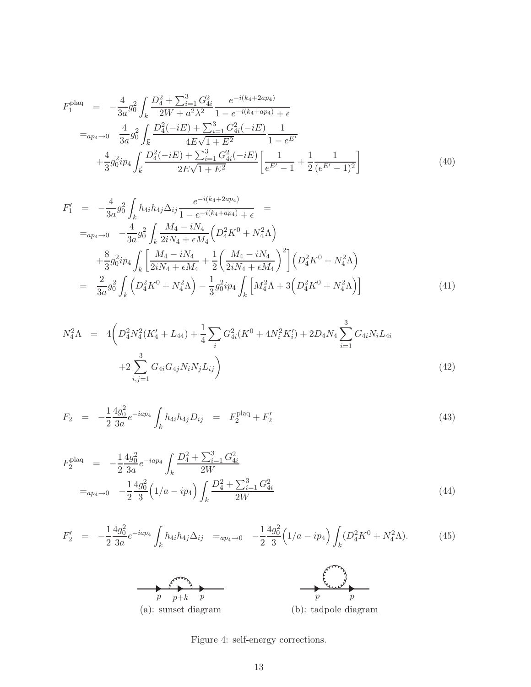$$
F_1^{\text{plaq}} = -\frac{4}{3a}g_0^2 \int_k \frac{D_4^2 + \sum_{i=1}^3 G_{4i}^2}{2W + a^2 \lambda^2} \frac{e^{-i(k_4 + 2ap_4)}}{1 - e^{-i(k_4 + ap_4)} + \epsilon}
$$
  
\n
$$
=_{ap_4 \to 0} \frac{4}{3a}g_0^2 \int_{\vec{k}} \frac{D_4^2(-iE) + \sum_{i=1}^3 G_{4i}^2(-iE)}{4E\sqrt{1 + E^2}} \frac{1}{1 - e^{E'}}
$$
  
\n
$$
+ \frac{4}{3}g_0^2ip_4 \int_{\vec{k}} \frac{D_4^2(-iE) + \sum_{i=1}^3 G_{4i}^2(-iE)}{2E\sqrt{1 + E^2}} \left[ \frac{1}{e^{E'} - 1} + \frac{1}{2} \frac{1}{(e^{E'} - 1)^2} \right]
$$
(40)

$$
F'_{1} = -\frac{4}{3a}g_{0}^{2} \int_{k} h_{4i}h_{4j} \Delta_{ij} \frac{e^{-i(k_{4}+2a p_{4})}}{1 - e^{-i(k_{4}+a p_{4})} + \epsilon} =
$$
  
\n
$$
=_{ap_{4} \to 0} -\frac{4}{3a}g_{0}^{2} \int_{k} \frac{M_{4} - iN_{4}}{2iN_{4} + \epsilon M_{4}} \left( D_{4}^{2}K^{0} + N_{4}^{2}\Lambda \right)
$$
  
\n
$$
+ \frac{8}{3}g_{0}^{2}ip_{4} \int_{k} \left[ \frac{M_{4} - iN_{4}}{2iN_{4} + \epsilon M_{4}} + \frac{1}{2} \left( \frac{M_{4} - iN_{4}}{2iN_{4} + \epsilon M_{4}} \right)^{2} \right] \left( D_{4}^{2}K^{0} + N_{4}^{2}\Lambda \right)
$$
  
\n
$$
= \frac{2}{3a}g_{0}^{2} \int_{k} \left( D_{4}^{2}K^{0} + N_{4}^{2}\Lambda \right) - \frac{1}{3}g_{0}^{2}ip_{4} \int_{k} \left[ M_{4}^{2}\Lambda + 3\left( D_{4}^{2}K^{0} + N_{4}^{2}\Lambda \right) \right]
$$
(41)

$$
N_4^2 \Lambda = 4 \left( D_4^2 N_4^2 (K_4' + L_{44}) + \frac{1}{4} \sum_i G_{4i}^2 (K^0 + 4N_i^2 K_i') + 2D_4 N_4 \sum_{i=1}^3 G_{4i} N_i L_{4i} + 2 \sum_{i,j=1}^3 G_{4i} G_{4j} N_i N_j L_{ij} \right)
$$
\n
$$
(42)
$$

$$
F_2 = -\frac{1}{2} \frac{4g_0^2}{3a} e^{-i a p_4} \int_k h_{4i} h_{4j} D_{ij} = F_2^{\text{plaq}} + F_2' \tag{43}
$$

$$
F_2^{\text{plaq}} = -\frac{1}{2} \frac{4g_0^2}{3a} e^{-i a p_4} \int_k \frac{D_4^2 + \sum_{i=1}^3 G_{4i}^2}{2W}
$$
  
=  $a_{p_4 \to 0} -\frac{1}{2} \frac{4g_0^2}{3} \left( 1/a - i p_4 \right) \int_k \frac{D_4^2 + \sum_{i=1}^3 G_{4i}^2}{2W}$  (44)

$$
F_2' = -\frac{1}{2} \frac{4g_0^2}{3a} e^{-i a p_4} \int_k h_{4i} h_{4j} \Delta_{ij} =_{a p_4 \to 0} -\frac{1}{2} \frac{4g_0^2}{3} \left( 1/a - i p_4 \right) \int_k (D_4^2 K^0 + N_4^2 \Lambda). \tag{45}
$$



<span id="page-13-0"></span>Figure 4: self-energy corrections.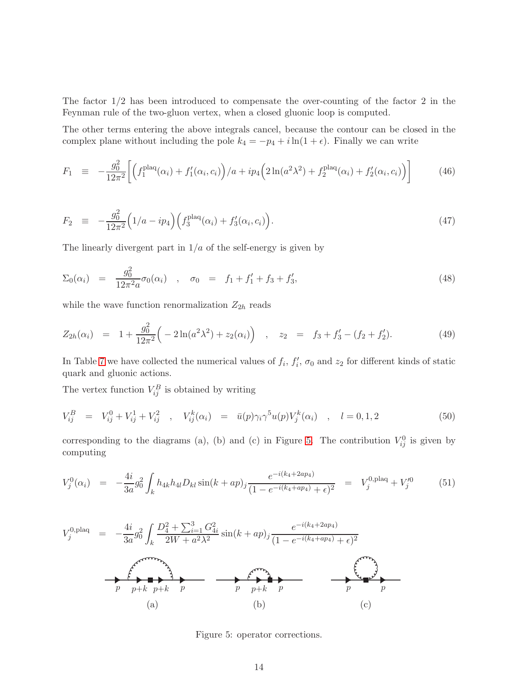The factor 1/2 has been introduced to compensate the over-counting of the factor 2 in the Feynman rule of the two-gluon vertex, when a closed gluonic loop is computed.

The other terms entering the above integrals cancel, because the contour can be closed in the complex plane without including the pole  $k_4 = -p_4 + i \ln(1 + \epsilon)$ . Finally we can write

$$
F_1 \equiv -\frac{g_0^2}{12\pi^2} \bigg[ \Big( f_1^{\text{plaq}}(\alpha_i) + f_1'(\alpha_i, c_i) \Big) / a + i p_4 \Big( 2 \ln(a^2 \lambda^2) + f_2^{\text{plaq}}(\alpha_i) + f_2'(\alpha_i, c_i) \Big) \bigg] \tag{46}
$$

$$
F_2 \equiv -\frac{g_0^2}{12\pi^2} \Big( 1/a - i p_4 \Big) \Big( f_3^{\text{plaq}}(\alpha_i) + f_3'(\alpha_i, c_i) \Big). \tag{47}
$$

The linearly divergent part in  $1/a$  of the self-energy is given by

$$
\Sigma_0(\alpha_i) = \frac{g_0^2}{12\pi^2 a} \sigma_0(\alpha_i) \quad , \quad \sigma_0 = f_1 + f_1' + f_3 + f_3', \tag{48}
$$

while the wave function renormalization  $Z_{2h}$  reads

$$
Z_{2h}(\alpha_i) = 1 + \frac{g_0^2}{12\pi^2} \left( -2\ln(a^2\lambda^2) + z_2(\alpha_i) \right) , \quad z_2 = f_3 + f_3' - (f_2 + f_2'). \tag{49}
$$

In Table [7](#page-16-1) we have collected the numerical values of  $f_i$ ,  $f'_i$ ,  $\sigma_0$  and  $z_2$  for different kinds of static quark and gluonic actions.

The vertex function  $V_{ij}^B$  is obtained by writing

$$
V_{ij}^B = V_{ij}^0 + V_{ij}^1 + V_{ij}^2 , \quad V_{ij}^k(\alpha_i) = \bar{u}(p)\gamma_i\gamma^5 u(p)V_j^k(\alpha_i) , \quad l = 0, 1, 2
$$
 (50)

corresponding to the diagrams (a), (b) and (c) in Figure [5.](#page-14-0) The contribution  $V_{ij}^0$  is given by computing

$$
V_j^0(\alpha_i) = -\frac{4i}{3a}g_0^2 \int_k h_{4k}h_{4l}D_{kl}\sin(k+ap)_j \frac{e^{-i(k_4+2ap_4)}}{(1-e^{-i(k_4+ap_4)}+\epsilon)^2} = V_j^{0,\text{plaq}} + V_j'^0 \tag{51}
$$

$$
V_j^{0,\text{plaq}} = -\frac{4i}{3a}g_0^2 \int_k \frac{D_4^2 + \sum_{i=1}^3 G_{4i}^2}{2W + a^2 \lambda^2} \sin(k + ap)_j \frac{e^{-i(k_4 + 2ap_4)}}{(1 - e^{-i(k_4 + ap_4)} + \epsilon)^2}
$$
\n
$$
= \underbrace{f \cdot \overbrace{f \cdot \overbrace{f \cdot \overline{f}}^{s \cdot \overbrace{f \cdot \overline{f}}^{s \cdot \overbrace{f \cdot \overline{f}}^{s \cdot \overline{f}}^{s \cdot \overline{f}}_{p}}_{(p) + k} + \underbrace{f \cdot \overbrace{f \cdot \overline{f}}^{s \cdot \overline{f \cdot \overline{f}}^{s \cdot \overline{f}}_{p}}_{(p) + k}}_{(a) + (b) + (c)}
$$
\n
$$
(c)
$$

<span id="page-14-0"></span>Figure 5: operator corrections.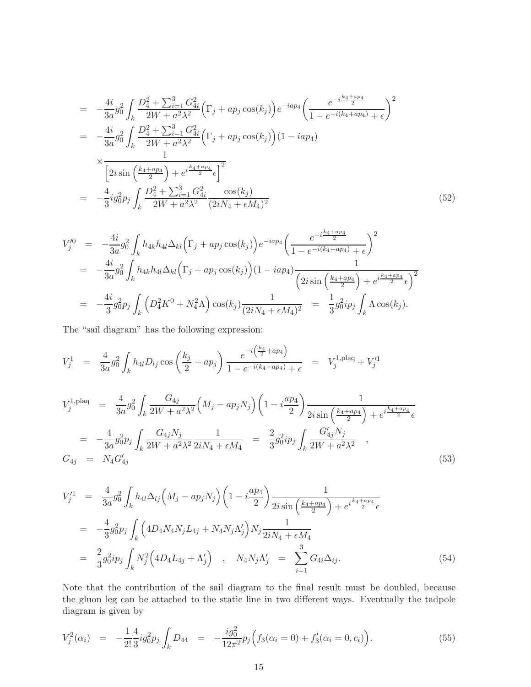$$
= -\frac{4i}{3a}g_0^2 \int_k \frac{D_4^2 + \sum_{i=1}^3 G_{4i}^2}{2W + a^2\lambda^2} \Big(\Gamma_j + ap_j \cos(k_j)\Big) e^{-iap_4} \left(\frac{e^{-i\frac{k_4 + ap_4}{2}}}{1 - e^{-i(k_4 + ap_4)} + \epsilon}\right)^2
$$
  
\n
$$
= -\frac{4i}{3a}g_0^2 \int_k \frac{D_4^2 + \sum_{i=1}^3 G_{4i}^2}{2W + a^2\lambda^2} \Big(\Gamma_j + ap_j \cos(k_j)\Big) (1 - iap_4)
$$
  
\n
$$
\times \frac{1}{\Big[2i \sin\left(\frac{k_4 + ap_4}{2}\right) + e^{i\frac{k_4 + ap_4}{2}}\epsilon\Big]^2}
$$
  
\n
$$
= -\frac{4}{3}ig_0^2p_j \int_k \frac{D_4^2 + \sum_{i=1}^3 G_{4i}^2}{2W + a^2\lambda^2} \frac{\cos(k_j)}{(2iN_4 + \epsilon M_4)^2}
$$
(52)

$$
V_{j}^{\prime 0} = -\frac{4i}{3a}g_{0}^{2} \int_{k} h_{4k}h_{4l} \Delta_{kl} \Big(\Gamma_{j} + ap_{j}\cos(k_{j})\Big) e^{-iap_{4}} \Big(\frac{e^{-i\frac{k_{4}+ap_{4}}{2}}}{1 - e^{-i(k_{4}+ap_{4})} + \epsilon}\Big)^{2}
$$
  
\n
$$
= -\frac{4i}{3a}g_{0}^{2} \int_{k} h_{4k}h_{4l} \Delta_{kl} \Big(\Gamma_{j} + ap_{j}\cos(k_{j})\Big) (1 - iap_{4}) \frac{1}{\Big(2i\sin\Big(\frac{k_{4}+ap_{4}}{2}\Big) + e^{i\frac{k_{4}+ap_{4}}{2}}\epsilon\Big)^{2}}
$$
  
\n
$$
= -\frac{4i}{3}g_{0}^{2}p_{j} \int_{k} \Big(D_{4}^{2}K^{0} + N_{4}^{2}\Lambda\Big) \cos(k_{j}) \frac{1}{\Big(2iN_{4} + \epsilon M_{4}\Big)^{2}} = \frac{1}{3}g_{0}^{2}ip_{j} \int_{k} \Lambda \cos(k_{j}).
$$

The "sail diagram" has the following expression:

$$
V_j^1 = \frac{4}{3a} g_0^2 \int_k h_{4l} D_{lj} \cos\left(\frac{k_j}{2} + ap_j\right) \frac{e^{-i\left(\frac{k_4}{2} + ap_4\right)}}{1 - e^{-i\left(k_4 + ap_4\right)} + \epsilon} = V_j^{1, \text{plaq}} + V_j'^1
$$

$$
V_j^{1,\text{plaq}} = \frac{4}{3a} g_0^2 \int_k \frac{G_{4j}}{2W + a^2 \lambda^2} \left( M_j - ap_j N_j \right) \left( 1 - i \frac{ap_4}{2} \right) \frac{1}{2i \sin \left( \frac{k_4 + ap_4}{2} \right) + e^{i \frac{k_4 + ap_4}{2}} \epsilon}
$$
  
= 
$$
-\frac{4}{3a} g_0^2 p_j \int_k \frac{G_{4j} N_j}{2W + a^2 \lambda^2} \frac{1}{2i N_4 + \epsilon M_4} = \frac{2}{3} g_0^2 i p_j \int_k \frac{G'_{4j} N_j}{2W + a^2 \lambda^2} ,
$$
  

$$
G_{4j} = N_4 G'_{4j}
$$
 (53)

$$
V_{j}^{\prime 1} = \frac{4}{3a} g_{0}^{2} \int_{k} h_{4l} \Delta_{lj} \left( M_{j} - ap_{j} N_{j} \right) \left( 1 - i \frac{ap_{4}}{2} \right) \frac{1}{2i \sin \left( \frac{k_{4} + ap_{4}}{2} \right) + e^{i \frac{k_{4} + ap_{4}}{2}} \epsilon}
$$
  
\n
$$
= -\frac{4}{3} g_{0}^{2} p_{j} \int_{k} \left( 4D_{4} N_{4} N_{j} L_{4j} + N_{4} N_{j} \Lambda_{j}^{\prime} \right) N_{j} \frac{1}{2i N_{4} + \epsilon M_{4}}
$$
  
\n
$$
= \frac{2}{3} g_{0}^{2} i p_{j} \int_{k} N_{j}^{2} \left( 4D_{4} L_{4j} + \Lambda_{j}^{\prime} \right) , \quad N_{4} N_{j} \Lambda_{j}^{\prime} = \sum_{i=1}^{3} G_{4i} \Delta_{ij}.
$$
 (54)

Note that the contribution of the sail diagram to the final result must be doubled, because the gluon leg can be attached to the static line in two different ways. Eventually the tadpole diagram is given by

$$
V_j^2(\alpha_i) = -\frac{1}{2!} \frac{4}{3} i g_0^2 p_j \int_k D_{44} = -\frac{i g_0^2}{12\pi^2} p_j \Big( f_3(\alpha_i = 0) + f_3'(\alpha_i = 0, c_i) \Big). \tag{55}
$$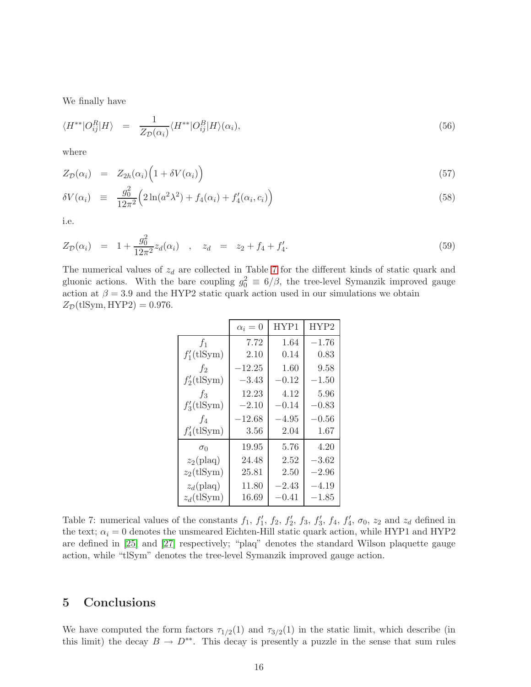We finally have

$$
\langle H^{**}|O_{ij}^R|H\rangle = \frac{1}{Z_{\mathcal{D}}(\alpha_i)} \langle H^{**}|O_{ij}^B|H\rangle(\alpha_i),\tag{56}
$$

where

$$
Z_{\mathcal{D}}(\alpha_i) = Z_{2h}(\alpha_i) \Big( 1 + \delta V(\alpha_i) \Big) \tag{57}
$$

$$
\delta V(\alpha_i) \equiv \frac{g_0^2}{12\pi^2} \Big( 2\ln(a^2\lambda^2) + f_4(\alpha_i) + f_4'(\alpha_i, c_i) \Big) \tag{58}
$$

i.e.

$$
Z_{\mathcal{D}}(\alpha_i) = 1 + \frac{g_0^2}{12\pi^2} z_d(\alpha_i) , \quad z_d = z_2 + f_4 + f'_4.
$$
 (59)

The numerical values of  $z_d$  are collected in Table [7](#page-16-1) for the different kinds of static quark and gluonic actions. With the bare coupling  $g_0^2 \equiv 6/\beta$ , the tree-level Symanzik improved gauge action at  $\beta = 3.9$  and the HYP2 static quark action used in our simulations we obtain  $Z_{\mathcal{D}}$ (tlSym, HYP2) = 0.976.

|               | $\alpha_i=0$ | HYP1    | HYP2      |
|---------------|--------------|---------|-----------|
| $f_1$         | 7.72         | 1.64    | $-1.76$   |
| $f_1'(t)Sym$  | 2.10         | 0.14    | 0.83      |
| $f_2$         | $-12.25$     | 1.60    | 9.58      |
| $f_2'(t)$     | $-3.43$      | $-0.12$ | $-1.50$   |
| $f_3$         | 12.23        | 4.12    | 5.96      |
| $f_3'(t)Sym$  | $-2.10$      | $-0.14$ | $-0.83\,$ |
| $f_4$         | $-12.68$     | $-4.95$ | $-0.56\,$ |
| $f_4'(t)Sym)$ | 3.56         | 2.04    | 1.67      |
| $\sigma_0$    | 19.95        | 5.76    | 4.20      |
| $z_2$ (plaq)  | 24.48        | 2.52    | $-3.62$   |
| $z_2$ (tlSym) | 25.81        | 2.50    | $-2.96\,$ |
| $z_d$ (plaq)  | 11.80        | $-2.43$ | $-4.19$   |
| $z_d$ (tlSym) | 16.69        | $-0.41$ | $-1.85\,$ |

<span id="page-16-1"></span>Table 7: numerical values of the constants  $f_1$ ,  $f'_1$ ,  $f_2$ ,  $f'_2$ ,  $f_3$ ,  $f'_3$ ,  $f_4$ ,  $f'_4$ ,  $\sigma_0$ ,  $z_2$  and  $z_d$  defined in the text;  $\alpha_i = 0$  denotes the unsmeared Eichten-Hill static quark action, while HYP1 and HYP2 are defined in [\[25\]](#page-22-2) and [\[27\]](#page-22-4) respectively; "plaq" denotes the standard Wilson plaquette gauge action, while "tlSym" denotes the tree-level Symanzik improved gauge action.

## <span id="page-16-0"></span>5 Conclusions

We have computed the form factors  $\tau_{1/2}(1)$  and  $\tau_{3/2}(1)$  in the static limit, which describe (in this limit) the decay  $B \to D^{**}$ . This decay is presently a puzzle in the sense that sum rules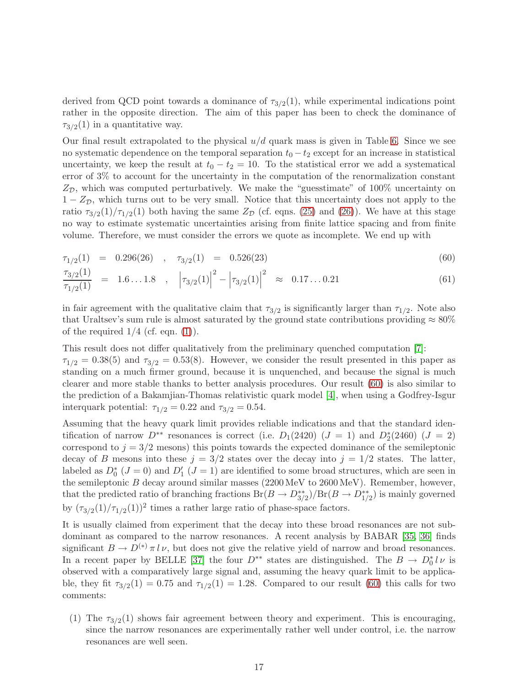derived from QCD point towards a dominance of  $\tau_{3/2}(1)$ , while experimental indications point rather in the opposite direction. The aim of this paper has been to check the dominance of  $\tau_{3/2}(1)$  in a quantitative way.

Our final result extrapolated to the physical  $u/d$  quark mass is given in Table [6.](#page-11-2) Since we see no systematic dependence on the temporal separation  $t_0 - t_2$  except for an increase in statistical uncertainty, we keep the result at  $t_0 - t_2 = 10$ . To the statistical error we add a systematical error of 3% to account for the uncertainty in the computation of the renormalization constant  $Z_{\mathcal{D}}$ , which was computed perturbatively. We make the "guesstimate" of 100% uncertainty on  $1 - Z_{\mathcal{D}}$ , which turns out to be very small. Notice that this uncertainty does not apply to the ratio  $\tau_{3/2}(1)/\tau_{1/2}(1)$  both having the same  $Z_{\mathcal{D}}$  (cf. eqns. [\(25\)](#page-8-2) and [\(26\)](#page-8-2)). We have at this stage no way to estimate systematic uncertainties arising from finite lattice spacing and from finite volume. Therefore, we must consider the errors we quote as incomplete. We end up with

<span id="page-17-0"></span>
$$
\tau_{1/2}(1) = 0.296(26) , \quad \tau_{3/2}(1) = 0.526(23)
$$
\n(60)

$$
\frac{\tau_{3/2}(1)}{\tau_{1/2}(1)} = 1.6...1.8 , |\tau_{3/2}(1)|^2 - |\tau_{3/2}(1)|^2 \approx 0.17...0.21
$$
\n(61)

in fair agreement with the qualitative claim that  $\tau_{3/2}$  is significantly larger than  $\tau_{1/2}$ . Note also that Uraltsev's sum rule is almost saturated by the ground state contributions providing  $\approx 80\%$ of the required  $1/4$  (cf. eqn.  $(1)$ ).

This result does not differ qualitatively from the preliminary quenched computation [\[7\]](#page-21-0):  $\tau_{1/2} = 0.38(5)$  and  $\tau_{3/2} = 0.53(8)$ . However, we consider the result presented in this paper as standing on a much firmer ground, because it is unquenched, and because the signal is much clearer and more stable thanks to better analysis procedures. Our result [\(60\)](#page-17-0) is also similar to the prediction of a Bakamjian-Thomas relativistic quark model [\[4\]](#page-20-3), when using a Godfrey-Isgur interquark potential:  $\tau_{1/2} = 0.22$  and  $\tau_{3/2} = 0.54$ .

Assuming that the heavy quark limit provides reliable indications and that the standard identification of narrow  $D^{**}$  resonances is correct (i.e.  $D_1(2420)$  ( $J = 1$ ) and  $D_2^*(2460)$  ( $J = 2$ ) correspond to  $j = 3/2$  mesons) this points towards the expected dominance of the semileptonic decay of B mesons into these  $j = 3/2$  states over the decay into  $j = 1/2$  states. The latter, labeled as  $D_0^*$  ( $J = 0$ ) and  $D_1'$  ( $J = 1$ ) are identified to some broad structures, which are seen in the semileptonic B decay around similar masses (2200 MeV to 2600 MeV). Remember, however, that the predicted ratio of branching fractions  $Br(B \to D^{**}_{3/2})/Br(B \to D^{**}_{1/2})$  is mainly governed by  $(\tau_{3/2}(1)/\tau_{1/2}(1))^2$  times a rather large ratio of phase-space factors.

It is usually claimed from experiment that the decay into these broad resonances are not subdominant as compared to the narrow resonances. A recent analysis by BABAR [\[35,](#page-22-12) [36\]](#page-22-13) finds significant  $B \to D^{(*)} \pi l \nu$ , but does not give the relative yield of narrow and broad resonances. In a recent paper by BELLE [\[37\]](#page-22-14) the four  $D^{**}$  states are distinguished. The  $B \to D_0^* l \nu$  is observed with a comparatively large signal and, assuming the heavy quark limit to be applicable, they fit  $\tau_{3/2}(1) = 0.75$  and  $\tau_{1/2}(1) = 1.28$ . Compared to our result [\(60\)](#page-17-0) this calls for two comments:

(1) The  $\tau_{3/2}(1)$  shows fair agreement between theory and experiment. This is encouraging, since the narrow resonances are experimentally rather well under control, i.e. the narrow resonances are well seen.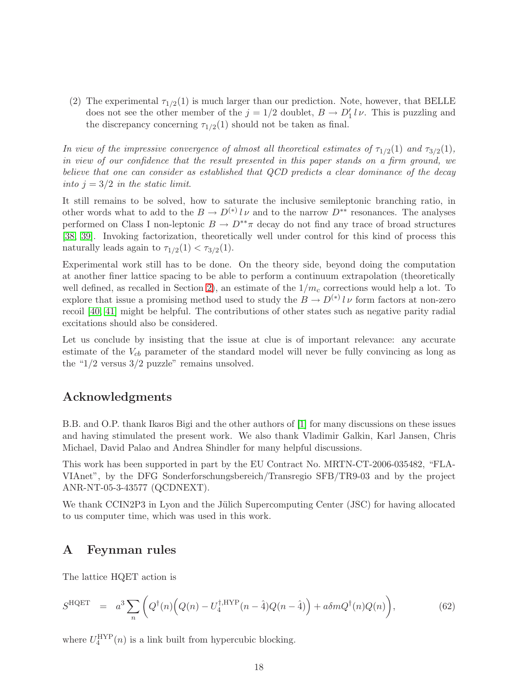(2) The experimental  $\tau_{1/2}(1)$  is much larger than our prediction. Note, however, that BELLE does not see the other member of the  $j = 1/2$  doublet,  $B \to D'_1 l \nu$ . This is puzzling and the discrepancy concerning  $\tau_{1/2}(1)$  should not be taken as final.

In view of the impressive convergence of almost all theoretical estimates of  $\tau_{1/2}(1)$  and  $\tau_{3/2}(1)$ , in view of our confidence that the result presented in this paper stands on a firm ground, we believe that one can consider as established that QCD predicts a clear dominance of the decay into  $j = 3/2$  in the static limit.

It still remains to be solved, how to saturate the inclusive semileptonic branching ratio, in other words what to add to the  $B \to D^{(*)} l \nu$  and to the narrow  $D^{**}$  resonances. The analyses performed on Class I non-leptonic  $B \to D^{**}\pi$  decay do not find any trace of broad structures [\[38,](#page-23-0) [39\]](#page-23-1). Invoking factorization, theoretically well under control for this kind of process this naturally leads again to  $\tau_{1/2}(1) < \tau_{3/2}(1)$ .

Experimental work still has to be done. On the theory side, beyond doing the computation at another finer lattice spacing to be able to perform a continuum extrapolation (theoretically well defined, as recalled in Section [2\)](#page-2-1), an estimate of the  $1/m<sub>c</sub>$  corrections would help a lot. To explore that issue a promising method used to study the  $B \to D^{(*)} l \nu$  form factors at non-zero recoil [\[40,](#page-23-2) [41\]](#page-23-3) might be helpful. The contributions of other states such as negative parity radial excitations should also be considered.

Let us conclude by insisting that the issue at clue is of important relevance: any accurate estimate of the  $V_{cb}$  parameter of the standard model will never be fully convincing as long as the " $1/2$  versus  $3/2$  puzzle" remains unsolved.

## Acknowledgments

B.B. and O.P. thank Ikaros Bigi and the other authors of [\[1\]](#page-20-0) for many discussions on these issues and having stimulated the present work. We also thank Vladimir Galkin, Karl Jansen, Chris Michael, David Palao and Andrea Shindler for many helpful discussions.

This work has been supported in part by the EU Contract No. MRTN-CT-2006-035482, "FLA-VIAnet", by the DFG Sonderforschungsbereich/Transregio SFB/TR9-03 and by the project ANR-NT-05-3-43577 (QCDNEXT).

We thank CCIN2P3 in Lyon and the Jülich Supercomputing Center (JSC) for having allocated to us computer time, which was used in this work.

## <span id="page-18-0"></span>A Feynman rules

The lattice HQET action is

$$
S^{\text{HQET}} = a^3 \sum_{n} \left( Q^{\dagger}(n) \left( Q(n) - U_4^{\dagger, \text{HYP}}(n - \hat{4}) Q(n - \hat{4}) \right) + a \delta m Q^{\dagger}(n) Q(n) \right), \tag{62}
$$

where  $U_4^{\text{HYP}}(n)$  is a link built from hypercubic blocking.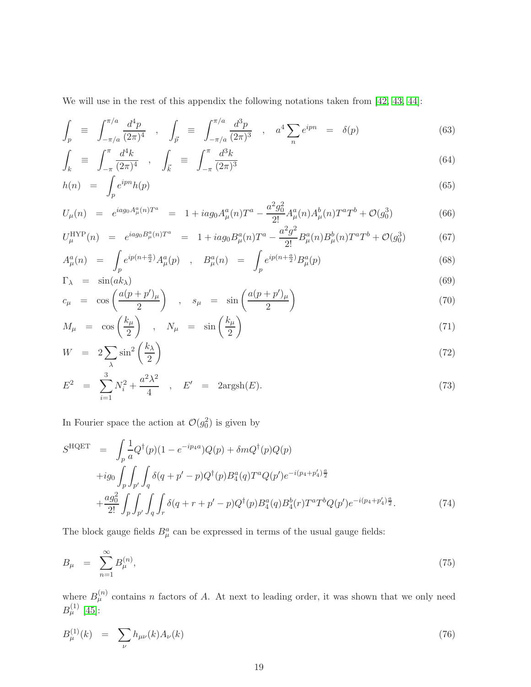We will use in the rest of this appendix the following notations taken from [\[42,](#page-23-4) [43,](#page-23-5) [44\]](#page-23-6):

$$
\int_{p} \equiv \int_{-\pi/a}^{\pi/a} \frac{d^4p}{(2\pi)^4} , \quad \int_{\vec{p}} \equiv \int_{-\pi/a}^{\pi/a} \frac{d^3p}{(2\pi)^3} , \quad a^4 \sum_{n} e^{ipn} = \delta(p) \tag{63}
$$

$$
\int_{k} \equiv \int_{-\pi}^{\pi} \frac{d^{4}k}{(2\pi)^{4}} , \quad \int_{\vec{k}} \equiv \int_{-\pi}^{\pi} \frac{d^{3}k}{(2\pi)^{3}} \tag{64}
$$

$$
h(n) = \int_{p} e^{ipn} h(p) \tag{65}
$$

$$
U_{\mu}(n) = e^{iag_0 A_{\mu}^a(n)T^a} = 1 + iag_0 A_{\mu}^a(n)T^a - \frac{a^2 g_0^2}{2!} A_{\mu}^a(n) A_{\mu}^b(n)T^a T^b + \mathcal{O}(g_0^3)
$$
(66)

$$
U_{\mu}^{\text{HYP}}(n) = e^{iag_0B_{\mu}^a(n)T^a} = 1 + iag_0B_{\mu}^a(n)T^a - \frac{a^2g^2}{2!}B_{\mu}^a(n)B_{\mu}^b(n)T^aT^b + \mathcal{O}(g_0^3)
$$
(67)

$$
A_{\mu}^{a}(n) = \int_{p} e^{ip(n+\frac{a}{2})} A_{\mu}^{a}(p) , B_{\mu}^{a}(n) = \int_{p} e^{ip(n+\frac{a}{2})} B_{\mu}^{a}(p) \tag{68}
$$

$$
\Gamma_{\lambda} = \sin(ak_{\lambda}) \tag{69}
$$

$$
c_{\mu} = \cos\left(\frac{a(p+p')_{\mu}}{2}\right) , \quad s_{\mu} = \sin\left(\frac{a(p+p')_{\mu}}{2}\right) \tag{70}
$$

$$
M_{\mu} = \cos\left(\frac{k_{\mu}}{2}\right) , \quad N_{\mu} = \sin\left(\frac{k_{\mu}}{2}\right) \tag{71}
$$

$$
W = 2\sum_{\lambda} \sin^2\left(\frac{k_{\lambda}}{2}\right) \tag{72}
$$

$$
E^2 = \sum_{i=1}^3 N_i^2 + \frac{a^2 \lambda^2}{4} , \quad E' = 2 \text{argsh}(E). \tag{73}
$$

In Fourier space the action at  $\mathcal{O}(g_0^2)$  is given by

$$
S^{\text{HQET}} = \int_{p} \frac{1}{a} Q^{\dagger}(p)(1 - e^{-ip_{4}a}) Q(p) + \delta m Q^{\dagger}(p) Q(p)
$$
  
+ $ig_0 \int_{p} \int_{p'} \int_{q} \delta(q + p' - p) Q^{\dagger}(p) B_4^a(q) T^a Q(p') e^{-i(p_4 + p'_4)\frac{a}{2}}$   
+ $\frac{ag_0^2}{2!} \int_{p} \int_{p'} \int_{q} \int_{r} \delta(q + r + p' - p) Q^{\dagger}(p) B_4^a(q) B_4^b(r) T^a T^b Q(p') e^{-i(p_4 + p'_4)\frac{a}{2}}.$  (74)

The block gauge fields  $B^a_\mu$  can be expressed in terms of the usual gauge fields:

$$
B_{\mu} = \sum_{n=1}^{\infty} B_{\mu}^{(n)}, \tag{75}
$$

where  $B_{\mu}^{(n)}$  contains n factors of A. At next to leading order, it was shown that we only need  $B^{(1)}_{\mu} \,\, [45]$  $B^{(1)}_{\mu} \,\, [45]$ :

$$
B_{\mu}^{(1)}(k) = \sum_{\nu} h_{\mu\nu}(k) A_{\nu}(k)
$$
\n(76)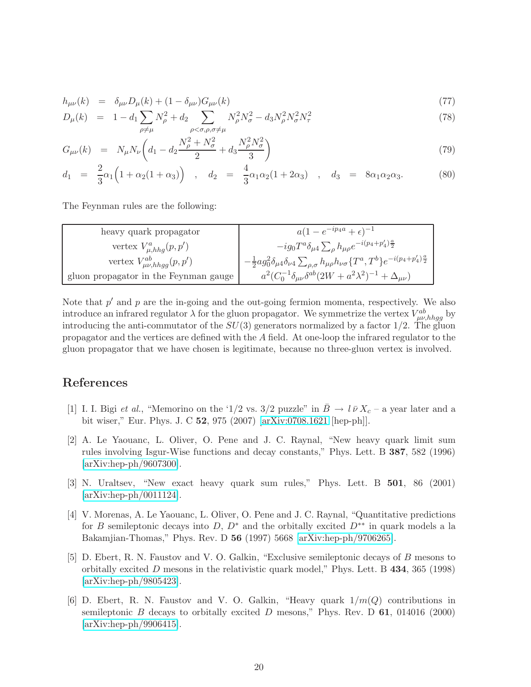$$
h_{\mu\nu}(k) = \delta_{\mu\nu} D_{\mu}(k) + (1 - \delta_{\mu\nu}) G_{\mu\nu}(k)
$$
\n(77)

$$
D_{\mu}(k) = 1 - d_1 \sum_{\rho \neq \mu} N_{\rho}^2 + d_2 \sum_{\rho < \sigma, \rho, \sigma \neq \mu} N_{\rho}^2 N_{\sigma}^2 - d_3 N_{\rho}^2 N_{\sigma}^2 N_{\tau}^2 \tag{78}
$$

$$
G_{\mu\nu}(k) = N_{\mu}N_{\nu}\left(d_1 - d_2\frac{N_{\rho}^2 + N_{\sigma}^2}{2} + d_3\frac{N_{\rho}^2 N_{\sigma}^2}{3}\right)
$$
\n(79)

$$
d_1 = \frac{2}{3}\alpha_1 \left(1 + \alpha_2(1 + \alpha_3)\right) , \quad d_2 = \frac{4}{3}\alpha_1\alpha_2(1 + 2\alpha_3) , \quad d_3 = 8\alpha_1\alpha_2\alpha_3.
$$
 (80)

The Feynman rules are the following:

| heavy quark propagator                | $a(1-e^{-ip_4a}+\epsilon)^{-1}$                                                                                                                                   |
|---------------------------------------|-------------------------------------------------------------------------------------------------------------------------------------------------------------------|
| vertex $V_{\mu,hhg}^a(p,p')$          | $-ig_0T^a\delta_{\mu4}\sum_\rho h_{\mu\rho}e^{-i(p_4+p_4')\frac{a}{2}}$                                                                                           |
| vertex $V^{ab}_{\mu\nu,hhgg}(p,p')$   | $\sum_{\sigma} -\frac{1}{2} a g_0^2 \delta_{\mu 4} \delta_{\nu 4} \sum_{\rho, \sigma} h_{\mu \rho} h_{\nu \sigma} \{ T^a, T^b \} e^{-i (p_4 + p_4') \frac{a}{2}}$ |
| gluon propagator in the Feynman gauge | $a^2(C_0^{-1}\delta_{\mu\nu}\delta^{ab}(2W+a^2\lambda^2)^{-1}+\Delta_{\mu\nu})$                                                                                   |

Note that  $p'$  and  $p$  are the in-going and the out-going fermion momenta, respectively. We also introduce an infrared regulator  $\lambda$  for the gluon propagator. We symmetrize the vertex  $V_{\mu\nu,hhgg}^{ab}$  by introducing the anti-commutator of the  $SU(3)$  generators normalized by a factor  $1/2$ . The gluon propagator and the vertices are defined with the A field. At one-loop the infrared regulator to the gluon propagator that we have chosen is legitimate, because no three-gluon vertex is involved.

## <span id="page-20-0"></span>References

- [1] I. I. Bigi et al., "Memorino on the '1/2 vs.  $3/2$  puzzle" in  $\overline{B} \to l \overline{\nu} X_c$  a year later and a bit wiser," Eur. Phys. J. C 52, 975 (2007) [\[arXiv:0708.1621](http://arxiv.org/abs/0708.1621) [hep-ph]].
- <span id="page-20-1"></span>[2] A. Le Yaouanc, L. Oliver, O. Pene and J. C. Raynal, "New heavy quark limit sum rules involving Isgur-Wise functions and decay constants," Phys. Lett. B 387, 582 (1996) [\[arXiv:hep-ph/9607300\]](http://arxiv.org/abs/hep-ph/9607300).
- <span id="page-20-2"></span>[3] N. Uraltsev, "New exact heavy quark sum rules," Phys. Lett. B 501, 86 (2001) [\[arXiv:hep-ph/0011124\]](http://arxiv.org/abs/hep-ph/0011124).
- <span id="page-20-3"></span>[4] V. Morenas, A. Le Yaouanc, L. Oliver, O. Pene and J. C. Raynal, "Quantitative predictions for B semileptonic decays into  $D, D^*$  and the orbitally excited  $D^{**}$  in quark models a la Bakamjian-Thomas," Phys. Rev. D 56 (1997) 5668 [\[arXiv:hep-ph/9706265\]](http://arxiv.org/abs/hep-ph/9706265).
- <span id="page-20-4"></span>[5] D. Ebert, R. N. Faustov and V. O. Galkin, "Exclusive semileptonic decays of B mesons to orbitally excited D mesons in the relativistic quark model," Phys. Lett. B  $434$ ,  $365$  (1998) [\[arXiv:hep-ph/9805423\]](http://arxiv.org/abs/hep-ph/9805423).
- <span id="page-20-5"></span>[6] D. Ebert, R. N. Faustov and V. O. Galkin, "Heavy quark  $1/m(Q)$  contributions in semileptonic B decays to orbitally excited D mesons," Phys. Rev. D  $61$ , 014016 (2000) [\[arXiv:hep-ph/9906415\]](http://arxiv.org/abs/hep-ph/9906415).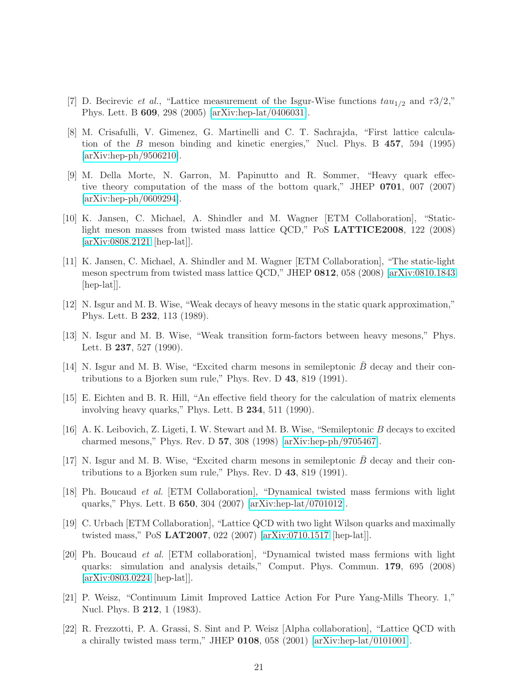- <span id="page-21-14"></span><span id="page-21-0"></span>[7] D. Becirevic *et al.*, "Lattice measurement of the Isgur-Wise functions  $tau_{1/2}$  and  $\tau 3/2$ ," Phys. Lett. B 609, 298 (2005) [\[arXiv:hep-lat/0406031\]](http://arxiv.org/abs/hep-lat/0406031).
- [8] M. Crisafulli, V. Gimenez, G. Martinelli and C. T. Sachrajda, "First lattice calculation of the B meson binding and kinetic energies," Nucl. Phys. B 457, 594 (1995) [\[arXiv:hep-ph/9506210\]](http://arxiv.org/abs/hep-ph/9506210).
- <span id="page-21-15"></span>[9] M. Della Morte, N. Garron, M. Papinutto and R. Sommer, "Heavy quark effective theory computation of the mass of the bottom quark," JHEP 0701, 007 (2007) [\[arXiv:hep-ph/0609294\]](http://arxiv.org/abs/hep-ph/0609294).
- <span id="page-21-1"></span>[10] K. Jansen, C. Michael, A. Shindler and M. Wagner [ETM Collaboration], "Staticlight meson masses from twisted mass lattice QCD," PoS LATTICE2008, 122 (2008) [\[arXiv:0808.2121](http://arxiv.org/abs/0808.2121) [hep-lat]].
- <span id="page-21-2"></span>[11] K. Jansen, C. Michael, A. Shindler and M. Wagner [ETM Collaboration], "The static-light meson spectrum from twisted mass lattice QCD," JHEP 0812, 058 (2008) [\[arXiv:0810.1843](http://arxiv.org/abs/0810.1843) [hep-lat].
- <span id="page-21-3"></span>[12] N. Isgur and M. B. Wise, "Weak decays of heavy mesons in the static quark approximation," Phys. Lett. B 232, 113 (1989).
- <span id="page-21-4"></span>[13] N. Isgur and M. B. Wise, "Weak transition form-factors between heavy mesons," Phys. Lett. B 237, 527 (1990).
- <span id="page-21-6"></span><span id="page-21-5"></span>[14] N. Isgur and M. B. Wise, "Excited charm mesons in semileptonic  $B$  decay and their contributions to a Bjorken sum rule," Phys. Rev. D 43, 819 (1991).
- <span id="page-21-7"></span>[15] E. Eichten and B. R. Hill, "An effective field theory for the calculation of matrix elements involving heavy quarks," Phys. Lett. B 234, 511 (1990).
- <span id="page-21-8"></span>[16] A. K. Leibovich, Z. Ligeti, I. W. Stewart and M. B. Wise, "Semileptonic B decays to excited charmed mesons," Phys. Rev. D 57, 308 (1998) [\[arXiv:hep-ph/9705467\]](http://arxiv.org/abs/hep-ph/9705467).
- [17] N. Isgur and M. B. Wise, "Excited charm mesons in semileptonic  $B$  decay and their contributions to a Bjorken sum rule," Phys. Rev. D 43, 819 (1991).
- <span id="page-21-9"></span>[18] Ph. Boucaud et al. [ETM Collaboration], "Dynamical twisted mass fermions with light quarks," Phys. Lett. B 650, 304 (2007) [\[arXiv:hep-lat/0701012\]](http://arxiv.org/abs/hep-lat/0701012).
- <span id="page-21-10"></span>[19] C. Urbach [ETM Collaboration], "Lattice QCD with two light Wilson quarks and maximally twisted mass," PoS LAT2007, 022 (2007) [\[arXiv:0710.1517](http://arxiv.org/abs/0710.1517) [hep-lat]].
- <span id="page-21-11"></span>[20] Ph. Boucaud et al. [ETM collaboration], "Dynamical twisted mass fermions with light quarks: simulation and analysis details," Comput. Phys. Commun. 179, 695 (2008) [\[arXiv:0803.0224](http://arxiv.org/abs/0803.0224) [hep-lat]].
- <span id="page-21-12"></span>[21] P. Weisz, "Continuum Limit Improved Lattice Action For Pure Yang-Mills Theory. 1," Nucl. Phys. B 212, 1 (1983).
- <span id="page-21-13"></span>[22] R. Frezzotti, P. A. Grassi, S. Sint and P. Weisz [Alpha collaboration], "Lattice QCD with a chirally twisted mass term," JHEP 0108, 058 (2001) [\[arXiv:hep-lat/0101001\]](http://arxiv.org/abs/hep-lat/0101001).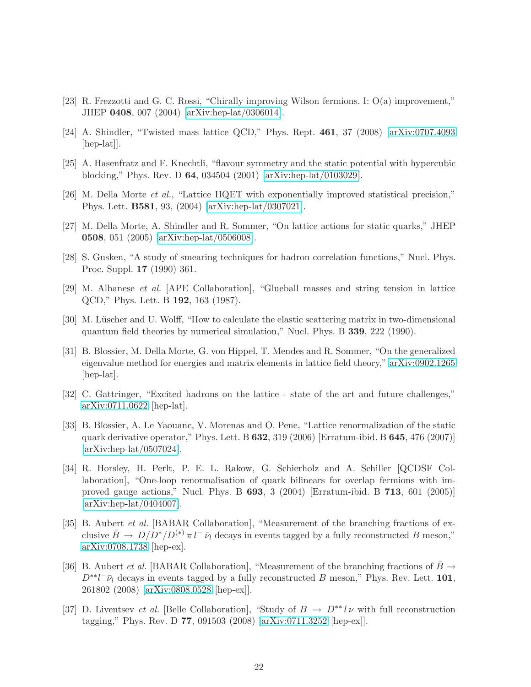- <span id="page-22-1"></span><span id="page-22-0"></span>[23] R. Frezzotti and G. C. Rossi, "Chirally improving Wilson fermions. I: O(a) improvement," JHEP 0408, 007 (2004) [\[arXiv:hep-lat/0306014\]](http://arxiv.org/abs/hep-lat/0306014).
- <span id="page-22-2"></span>[24] A. Shindler, "Twisted mass lattice QCD," Phys. Rept. 461, 37 (2008) [\[arXiv:0707.4093](http://arxiv.org/abs/0707.4093) [hep-lat].
- <span id="page-22-3"></span>[25] A. Hasenfratz and F. Knechtli, "flavour symmetry and the static potential with hypercubic blocking," Phys. Rev. D 64, 034504 (2001) [\[arXiv:hep-lat/0103029\]](http://arxiv.org/abs/hep-lat/0103029).
- <span id="page-22-4"></span>[26] M. Della Morte et al., "Lattice HQET with exponentially improved statistical precision," Phys. Lett. B581, 93, (2004) [\[arXiv:hep-lat/0307021\]](http://arxiv.org/abs/hep-lat/0307021).
- <span id="page-22-5"></span>[27] M. Della Morte, A. Shindler and R. Sommer, "On lattice actions for static quarks," JHEP 0508, 051 (2005) [\[arXiv:hep-lat/0506008\]](http://arxiv.org/abs/hep-lat/0506008).
- <span id="page-22-6"></span>[28] S. Gusken, "A study of smearing techniques for hadron correlation functions," Nucl. Phys. Proc. Suppl. 17 (1990) 361.
- <span id="page-22-7"></span>[29] M. Albanese et al. [APE Collaboration], "Glueball masses and string tension in lattice QCD," Phys. Lett. B 192, 163 (1987).
- [30] M. Lüscher and U. Wolff, "How to calculate the elastic scattering matrix in two-dimensional quantum field theories by numerical simulation," Nucl. Phys. B 339, 222 (1990).
- <span id="page-22-8"></span>[31] B. Blossier, M. Della Morte, G. von Hippel, T. Mendes and R. Sommer, "On the generalized eigenvalue method for energies and matrix elements in lattice field theory," [arXiv:0902.1265](http://arxiv.org/abs/0902.1265) [hep-lat].
- <span id="page-22-10"></span><span id="page-22-9"></span>[32] C. Gattringer, "Excited hadrons on the lattice - state of the art and future challenges," [arXiv:0711.0622](http://arxiv.org/abs/0711.0622) [hep-lat].
- [33] B. Blossier, A. Le Yaouanc, V. Morenas and O. Pene, "Lattice renormalization of the static quark derivative operator," Phys. Lett. B 632, 319 (2006) [Erratum-ibid. B 645, 476 (2007)] [\[arXiv:hep-lat/0507024\]](http://arxiv.org/abs/hep-lat/0507024).
- <span id="page-22-11"></span>[34] R. Horsley, H. Perlt, P. E. L. Rakow, G. Schierholz and A. Schiller [QCDSF Collaboration], "One-loop renormalisation of quark bilinears for overlap fermions with improved gauge actions," Nucl. Phys. B 693, 3 (2004) [Erratum-ibid. B 713, 601 (2005)] [\[arXiv:hep-lat/0404007\]](http://arxiv.org/abs/hep-lat/0404007).
- <span id="page-22-12"></span>[35] B. Aubert et al. [BABAR Collaboration], "Measurement of the branching fractions of exclusive  $\bar{B} \to D/D^*/D^{(*)} \pi l^-\bar{\nu}_l$  decays in events tagged by a fully reconstructed B meson," [arXiv:0708.1738](http://arxiv.org/abs/0708.1738) [hep-ex].
- <span id="page-22-13"></span>[36] B. Aubert *et al.* [BABAR Collaboration], "Measurement of the branching fractions of  $\bar{B} \rightarrow$  $D^{**}l^-\bar{\nu}_l$  decays in events tagged by a fully reconstructed B meson," Phys. Rev. Lett. 101, 261802 (2008) [\[arXiv:0808.0528](http://arxiv.org/abs/0808.0528) [hep-ex]].
- <span id="page-22-14"></span>[37] D. Liventsev et al. [Belle Collaboration], "Study of  $B \to D^{**} l \nu$  with full reconstruction tagging," Phys. Rev. D 77, 091503 (2008) [\[arXiv:0711.3252](http://arxiv.org/abs/0711.3252) [hep-ex]].